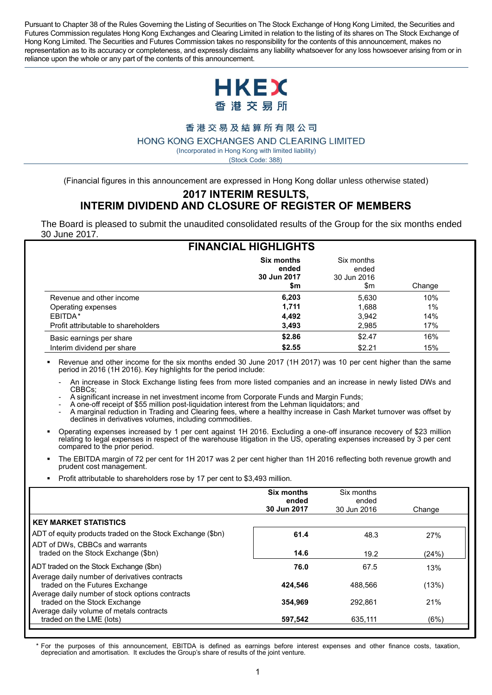Pursuant to Chapter 38 of the Rules Governing the Listing of Securities on The Stock Exchange of Hong Kong Limited, the Securities and Futures Commission regulates Hong Kong Exchanges and Clearing Limited in relation to the listing of its shares on The Stock Exchange of Hong Kong Limited. The Securities and Futures Commission takes no responsibility for the contents of this announcement, makes no representation as to its accuracy or completeness, and expressly disclaims any liability whatsoever for any loss howsoever arising from or in reliance upon the whole or any part of the contents of this announcement.



#### 香港交易及結算所有限公司

HONG KONG EXCHANGES AND CLEARING LIMITED

(Incorporated in Hong Kong with limited liability)

(Stock Code: 388)

(Financial figures in this announcement are expressed in Hong Kong dollar unless otherwise stated)

#### **2017 INTERIM RESULTS, INTERIM DIVIDEND AND CLOSURE OF REGISTER OF MEMBERS**

The Board is pleased to submit the unaudited consolidated results of the Group for the six months ended 30 June 2017.

|                                     | <b>FINANCIAL HIGHLIGHTS</b>                      |                                           |        |
|-------------------------------------|--------------------------------------------------|-------------------------------------------|--------|
|                                     | <b>Six months</b><br>ended<br>30 Jun 2017<br>\$m | Six months<br>ended<br>30 Jun 2016<br>\$m | Change |
| Revenue and other income            | 6,203                                            | 5,630                                     | 10%    |
| Operating expenses                  | 1.711                                            | 1,688                                     | 1%     |
| EBITDA*                             | 4,492                                            | 3,942                                     | 14%    |
| Profit attributable to shareholders | 3.493                                            | 2,985                                     | 17%    |
| Basic earnings per share            | \$2.86                                           | \$2.47                                    | 16%    |
| Interim dividend per share          | \$2.55                                           | \$2.21                                    | 15%    |

 Revenue and other income for the six months ended 30 June 2017 (1H 2017) was 10 per cent higher than the same period in 2016 (1H 2016). Key highlights for the period include:

- An increase in Stock Exchange listing fees from more listed companies and an increase in newly listed DWs and CBBCs;
- A significant increase in net investment income from Corporate Funds and Margin Funds;
- A one-off receipt of \$55 million post-liquidation interest from the Lehman liquidators; and
- A marginal reduction in Trading and Clearing fees, where a healthy increase in Cash Market turnover was offset by declines in derivatives volumes, including commodities.
- Operating expenses increased by 1 per cent against 1H 2016. Excluding a one-off insurance recovery of \$23 million relating to legal expenses in respect of the warehouse litigation in the US, operating expenses increased by 3 per cent compared to the prior period.
- The EBITDA margin of 72 per cent for 1H 2017 was 2 per cent higher than 1H 2016 reflecting both revenue growth and prudent cost management.
- Profit attributable to shareholders rose by 17 per cent to \$3,493 million.

|                                                                                                                                    | <b>Six months</b><br>ended<br>30 Jun 2017 | Six months<br>ended<br>30 Jun 2016 | Change |
|------------------------------------------------------------------------------------------------------------------------------------|-------------------------------------------|------------------------------------|--------|
| <b>KEY MARKET STATISTICS</b>                                                                                                       |                                           |                                    |        |
| ADT of equity products traded on the Stock Exchange (\$bn)                                                                         | 61.4                                      | 48.3                               | 27%    |
| ADT of DWs, CBBCs and warrants<br>traded on the Stock Exchange (\$bn)                                                              | 14.6                                      | 19.2                               | (24%)  |
| ADT traded on the Stock Exchange (\$bn)                                                                                            | 76.0                                      | 67.5                               | 13%    |
| Average daily number of derivatives contracts<br>traded on the Futures Exchange<br>Average daily number of stock options contracts | 424,546                                   | 488.566                            | (13%)  |
| traded on the Stock Exchange                                                                                                       | 354.969                                   | 292.861                            | 21%    |
| Average daily volume of metals contracts<br>traded on the LME (lots)                                                               | 597.542                                   | 635.111                            | (6%)   |

*\** For the purposes of this announcement, EBITDA is defined as earnings before interest expenses and other finance costs, taxation, depreciation and amortisation. It excludes the Group's share of results of the joint venture.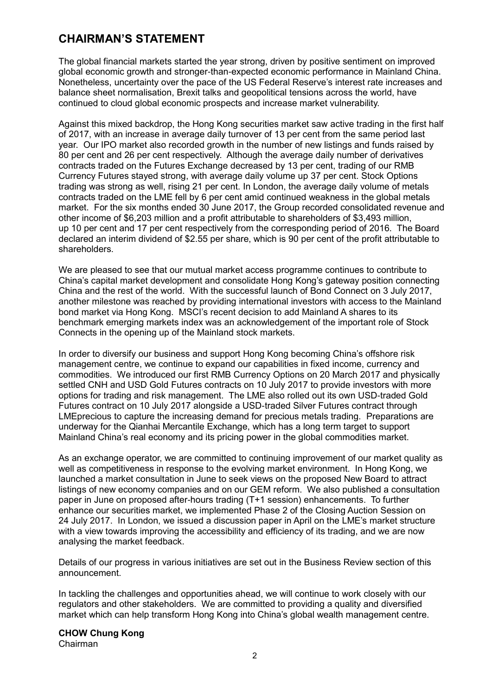# **CHAIRMAN'S STATEMENT**

The global financial markets started the year strong, driven by positive sentiment on improved global economic growth and stronger-than-expected economic performance in Mainland China. Nonetheless, uncertainty over the pace of the US Federal Reserve's interest rate increases and balance sheet normalisation, Brexit talks and geopolitical tensions across the world, have continued to cloud global economic prospects and increase market vulnerability.

Against this mixed backdrop, the Hong Kong securities market saw active trading in the first half of 2017, with an increase in average daily turnover of 13 per cent from the same period last year. Our IPO market also recorded growth in the number of new listings and funds raised by 80 per cent and 26 per cent respectively. Although the average daily number of derivatives contracts traded on the Futures Exchange decreased by 13 per cent, trading of our RMB Currency Futures stayed strong, with average daily volume up 37 per cent. Stock Options trading was strong as well, rising 21 per cent. In London, the average daily volume of metals contracts traded on the LME fell by 6 per cent amid continued weakness in the global metals market. For the six months ended 30 June 2017, the Group recorded consolidated revenue and other income of \$6,203 million and a profit attributable to shareholders of \$3,493 million, up 10 per cent and 17 per cent respectively from the corresponding period of 2016. The Board declared an interim dividend of \$2.55 per share, which is 90 per cent of the profit attributable to shareholders.

We are pleased to see that our mutual market access programme continues to contribute to China's capital market development and consolidate Hong Kong's gateway position connecting China and the rest of the world. With the successful launch of Bond Connect on 3 July 2017, another milestone was reached by providing international investors with access to the Mainland bond market via Hong Kong. MSCI's recent decision to add Mainland A shares to its benchmark emerging markets index was an acknowledgement of the important role of Stock Connects in the opening up of the Mainland stock markets.

In order to diversify our business and support Hong Kong becoming China's offshore risk management centre, we continue to expand our capabilities in fixed income, currency and commodities. We introduced our first RMB Currency Options on 20 March 2017 and physically settled CNH and USD Gold Futures contracts on 10 July 2017 to provide investors with more options for trading and risk management. The LME also rolled out its own USD-traded Gold Futures contract on 10 July 2017 alongside a USD-traded Silver Futures contract through LMEprecious to capture the increasing demand for precious metals trading. Preparations are underway for the Qianhai Mercantile Exchange, which has a long term target to support Mainland China's real economy and its pricing power in the global commodities market.

As an exchange operator, we are committed to continuing improvement of our market quality as well as competitiveness in response to the evolving market environment. In Hong Kong, we launched a market consultation in June to seek views on the proposed New Board to attract listings of new economy companies and on our GEM reform. We also published a consultation paper in June on proposed after-hours trading (T+1 session) enhancements. To further enhance our securities market, we implemented Phase 2 of the Closing Auction Session on 24 July 2017. In London, we issued a discussion paper in April on the LME's market structure with a view towards improving the accessibility and efficiency of its trading, and we are now analysing the market feedback.

Details of our progress in various initiatives are set out in the Business Review section of this announcement.

In tackling the challenges and opportunities ahead, we will continue to work closely with our regulators and other stakeholders. We are committed to providing a quality and diversified market which can help transform Hong Kong into China's global wealth management centre.

#### **CHOW Chung Kong** Chairman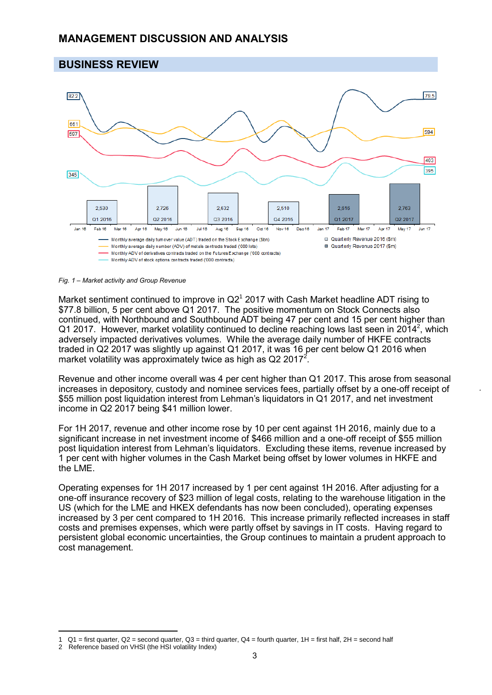### **BUSINESS REVIEW**



*Fig. 1 – Market activity and Group Revenue*

Market sentiment continued to improve in  $Q2<sup>1</sup>$  2017 with Cash Market headline ADT rising to \$77.8 billion, 5 per cent above Q1 2017. The positive momentum on Stock Connects also continued, with Northbound and Southbound ADT being 47 per cent and 15 per cent higher than Q1 2017. However, market volatility continued to decline reaching lows last seen in 2014<sup>2</sup>, which adversely impacted derivatives volumes. While the average daily number of HKFE contracts traded in Q2 2017 was slightly up against Q1 2017, it was 16 per cent below Q1 2016 when market volatility was approximately twice as high as Q2 2017<sup>2</sup>.

Revenue and other income overall was 4 per cent higher than Q1 2017. This arose from seasonal increases in depository, custody and nominee services fees, partially offset by a one-off receipt of \$55 million post liquidation interest from Lehman's liquidators in Q1 2017, and net investment income in Q2 2017 being \$41 million lower.

For 1H 2017, revenue and other income rose by 10 per cent against 1H 2016, mainly due to a significant increase in net investment income of \$466 million and a one-off receipt of \$55 million post liquidation interest from Lehman's liquidators. Excluding these items, revenue increased by 1 per cent with higher volumes in the Cash Market being offset by lower volumes in HKFE and the LME.

Operating expenses for 1H 2017 increased by 1 per cent against 1H 2016. After adjusting for a one-off insurance recovery of \$23 million of legal costs, relating to the warehouse litigation in the US (which for the LME and HKEX defendants has now been concluded), operating expenses increased by 3 per cent compared to 1H 2016. This increase primarily reflected increases in staff costs and premises expenses, which were partly offset by savings in IT costs. Having regard to persistent global economic uncertainties, the Group continues to maintain a prudent approach to cost management.

 $\overline{a}$ 1  $Q1$  = first quarter,  $Q2$  = second quarter,  $Q3$  = third quarter,  $Q4$  = fourth quarter,  $1H$  = first half,  $2H$  = second half

<sup>2</sup> Reference based on VHSI (the HSI volatility Index)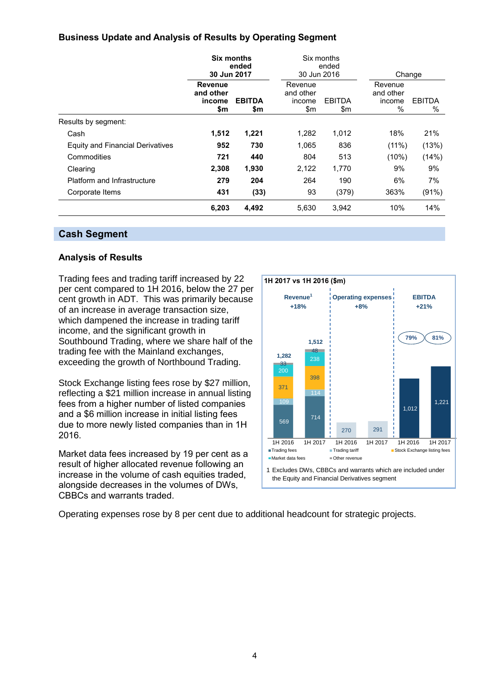### **Business Update and Analysis of Results by Operating Segment**

|                                  | 30 Jun 2017                           | <b>Six months</b><br>ended | 30 Jun 2016                           | Six months<br>ended  |                                        | Change             |
|----------------------------------|---------------------------------------|----------------------------|---------------------------------------|----------------------|----------------------------------------|--------------------|
|                                  | Revenue<br>and other<br>income<br>\$m | <b>EBITDA</b><br>\$m       | Revenue<br>and other<br>income<br>\$m | <b>EBITDA</b><br>\$m | Revenue<br>and other<br>income<br>$\%$ | <b>EBITDA</b><br>% |
| Results by segment:              |                                       |                            |                                       |                      |                                        |                    |
| Cash                             | 1,512                                 | 1,221                      | 1,282                                 | 1,012                | 18%                                    | 21%                |
| Equity and Financial Derivatives | 952                                   | 730                        | 1,065                                 | 836                  | $(11\%)$                               | (13%)              |
| Commodities                      | 721                                   | 440                        | 804                                   | 513                  | (10%)                                  | (14%)              |
| Clearing                         | 2,308                                 | 1,930                      | 2,122                                 | 1,770                | 9%                                     | 9%                 |
| Platform and Infrastructure      | 279                                   | 204                        | 264                                   | 190                  | 6%                                     | 7%                 |
| Corporate Items                  | 431                                   | (33)                       | 93                                    | (379)                | 363%                                   | (91%)              |
|                                  | 6,203                                 | 4,492                      | 5,630                                 | 3,942                | 10%                                    | 14%                |

### **Cash Segment**

#### **Analysis of Results**

Trading fees and trading tariff increased by 22 per cent compared to 1H 2016, below the 27 per cent growth in ADT. This was primarily because of an increase in average transaction size, which dampened the increase in trading tariff income, and the significant growth in Southbound Trading, where we share half of the trading fee with the Mainland exchanges, exceeding the growth of Northbound Trading.

Stock Exchange listing fees rose by \$27 million, reflecting a \$21 million increase in annual listing fees from a higher number of listed companies and a \$6 million increase in initial listing fees due to more newly listed companies than in 1H 2016.

Market data fees increased by 19 per cent as a result of higher allocated revenue following an increase in the volume of cash equities traded, alongside decreases in the volumes of DWs, CBBCs and warrants traded.



Operating expenses rose by 8 per cent due to additional headcount for strategic projects.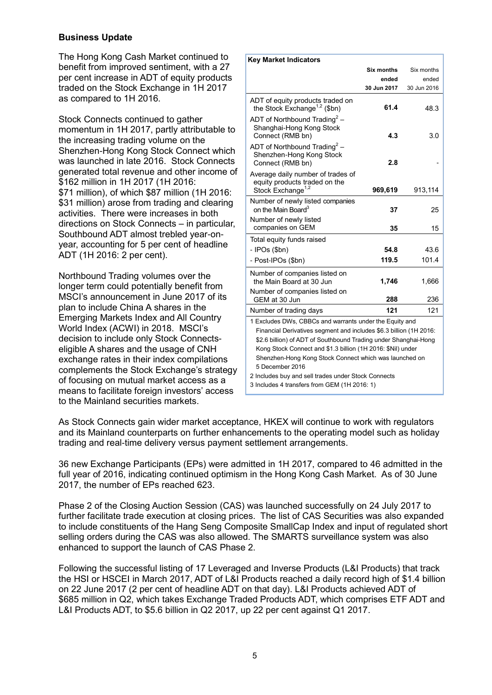#### **Business Update**

The Hong Kong Cash Market continued to benefit from improved sentiment, with a 27 per cent increase in ADT of equity products traded on the Stock Exchange in 1H 2017 as compared to 1H 2016.

Stock Connects continued to gather momentum in 1H 2017, partly attributable to the increasing trading volume on the Shenzhen-Hong Kong Stock Connect which was launched in late 2016. Stock Connects generated total revenue and other income of \$162 million in 1H 2017 (1H 2016: \$71 million), of which \$87 million (1H 2016: \$31 million) arose from trading and clearing activities. There were increases in both directions on Stock Connects – in particular, Southbound ADT almost trebled year-onyear, accounting for 5 per cent of headline ADT (1H 2016: 2 per cent).

Northbound Trading volumes over the longer term could potentially benefit from MSCI's announcement in June 2017 of its plan to include China A shares in the Emerging Markets Index and All Country World Index (ACWI) in 2018. MSCI's decision to include only Stock Connectseligible A shares and the usage of CNH exchange rates in their index compilations complements the Stock Exchange's strategy of focusing on mutual market access as a means to facilitate foreign investors' access to the Mainland securities markets.

| <b>Key Market Indicators</b>                                                                        |                   |             |
|-----------------------------------------------------------------------------------------------------|-------------------|-------------|
|                                                                                                     | <b>Six months</b> | Six months  |
|                                                                                                     | ended             | ended       |
|                                                                                                     | 30 Jun 2017       | 30 Jun 2016 |
| ADT of equity products traded on<br>the Stock Exchange <sup>1,2</sup> (\$bn)                        | 61.4              | 48.3        |
| ADT of Northbound Trading <sup>2</sup> -<br>Shanghai-Hong Kong Stock<br>Connect (RMB bn)            | 4.3               | 3.0         |
| ADT of Northbound Trading <sup>2</sup> –<br>Shenzhen-Hong Kong Stock<br>Connect (RMB bn)            | 2.8               |             |
| Average daily number of trades of<br>equity products traded on the<br>Stock Exchange <sup>1,2</sup> | 969,619           | 913,114     |
| Number of newly listed companies<br>on the Main Board <sup>3</sup><br>Number of newly listed        | 37                | 25          |
| companies on GEM                                                                                    | 35                | 15          |
| Total equity funds raised                                                                           |                   |             |
| - IPOs (\$bn)                                                                                       | 54.8              | 43.6        |
| - Post-IPOs (\$bn)                                                                                  | 119.5             | 101.4       |
| Number of companies listed on<br>the Main Board at 30 Jun                                           | 1,746             | 1,666       |
| Number of companies listed on<br>GEM at 30 Jun                                                      | 288               | 236         |
| Number of trading days                                                                              | 121               | 121         |
| 1 Excludes DWs, CBBCs and warrants under the Equity and                                             |                   |             |
| Financial Derivatives segment and includes \$6.3 billion (1H 2016:                                  |                   |             |
| \$2.6 billion) of ADT of Southbound Trading under Shanghai-Hong                                     |                   |             |
| Kong Stock Connect and \$1.3 billion (1H 2016: \$Nil) under                                         |                   |             |
| Shenzhen-Hong Kong Stock Connect which was launched on                                              |                   |             |
| 5 December 2016                                                                                     |                   |             |
| 2 Includes buy and sell trades under Stock Connects<br>3 Includes 4 transfers from GEM (1H 2016: 1) |                   |             |
|                                                                                                     |                   |             |

As Stock Connects gain wider market acceptance, HKEX will continue to work with regulators and its Mainland counterparts on further enhancements to the operating model such as holiday trading and real-time delivery versus payment settlement arrangements.

36 new Exchange Participants (EPs) were admitted in 1H 2017, compared to 46 admitted in the full year of 2016, indicating continued optimism in the Hong Kong Cash Market. As of 30 June 2017, the number of EPs reached 623.

Phase 2 of the Closing Auction Session (CAS) was launched successfully on 24 July 2017 to further facilitate trade execution at closing prices. The list of CAS Securities was also expanded to include constituents of the Hang Seng Composite SmallCap Index and input of regulated short selling orders during the CAS was also allowed. The SMARTS surveillance system was also enhanced to support the launch of CAS Phase 2.

Following the successful listing of 17 Leveraged and Inverse Products (L&I Products) that track the HSI or HSCEI in March 2017, ADT of L&I Products reached a daily record high of \$1.4 billion on 22 June 2017 (2 per cent of headline ADT on that day). L&I Products achieved ADT of \$685 million in Q2, which takes Exchange Traded Products ADT, which comprises ETF ADT and L&I Products ADT, to \$5.6 billion in Q2 2017, up 22 per cent against Q1 2017.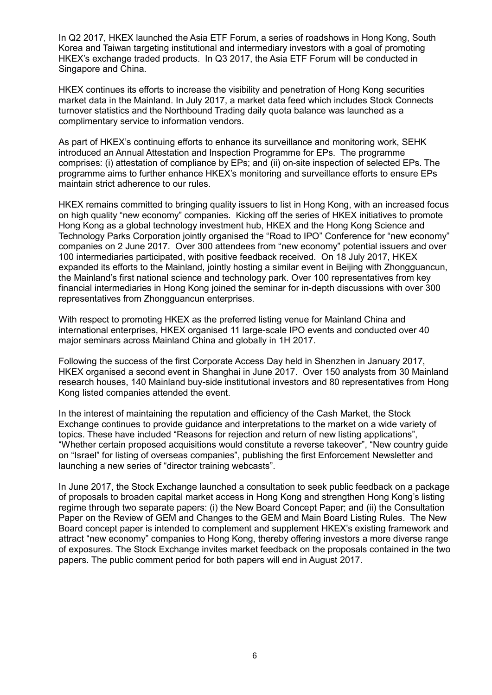In Q2 2017, HKEX launched the Asia ETF Forum, a series of roadshows in Hong Kong, South Korea and Taiwan targeting institutional and intermediary investors with a goal of promoting HKEX's exchange traded products. In Q3 2017, the Asia ETF Forum will be conducted in Singapore and China.

HKEX continues its efforts to increase the visibility and penetration of Hong Kong securities market data in the Mainland. In July 2017, a market data feed which includes Stock Connects turnover statistics and the Northbound Trading daily quota balance was launched as a complimentary service to information vendors.

As part of HKEX's continuing efforts to enhance its surveillance and monitoring work, SEHK introduced an Annual Attestation and Inspection Programme for EPs. The programme comprises: (i) attestation of compliance by EPs; and (ii) on-site inspection of selected EPs. The programme aims to further enhance HKEX's monitoring and surveillance efforts to ensure EPs maintain strict adherence to our rules.

HKEX remains committed to bringing quality issuers to list in Hong Kong, with an increased focus on high quality "new economy" companies. Kicking off the series of HKEX initiatives to promote Hong Kong as a global technology investment hub, HKEX and the Hong Kong Science and Technology Parks Corporation jointly organised the "Road to IPO" Conference for "new economy" companies on 2 June 2017. Over 300 attendees from "new economy" potential issuers and over 100 intermediaries participated, with positive feedback received. On 18 July 2017, HKEX expanded its efforts to the Mainland, jointly hosting a similar event in Beijing with Zhongguancun, the Mainland's first national science and technology park. Over 100 representatives from key financial intermediaries in Hong Kong joined the seminar for in-depth discussions with over 300 representatives from Zhongguancun enterprises.

With respect to promoting HKEX as the preferred listing venue for Mainland China and international enterprises, HKEX organised 11 large-scale IPO events and conducted over 40 major seminars across Mainland China and globally in 1H 2017.

Following the success of the first Corporate Access Day held in Shenzhen in January 2017, HKEX organised a second event in Shanghai in June 2017. Over 150 analysts from 30 Mainland research houses, 140 Mainland buy-side institutional investors and 80 representatives from Hong Kong listed companies attended the event.

In the interest of maintaining the reputation and efficiency of the Cash Market, the Stock Exchange continues to provide guidance and interpretations to the market on a wide variety of topics. These have included "Reasons for rejection and return of new listing applications", "Whether certain proposed acquisitions would constitute a reverse takeover", "New country guide on "Israel" for listing of overseas companies", publishing the first Enforcement Newsletter and launching a new series of "director training webcasts".

In June 2017, the Stock Exchange launched a consultation to seek public feedback on a package of proposals to broaden capital market access in Hong Kong and strengthen Hong Kong's listing regime through two separate papers: (i) the New Board Concept Paper; and (ii) the Consultation Paper on the Review of GEM and Changes to the GEM and Main Board Listing Rules. The New Board concept paper is intended to complement and supplement HKEX's existing framework and attract "new economy" companies to Hong Kong, thereby offering investors a more diverse range of exposures. The Stock Exchange invites market feedback on the proposals contained in the two papers. The public comment period for both papers will end in August 2017.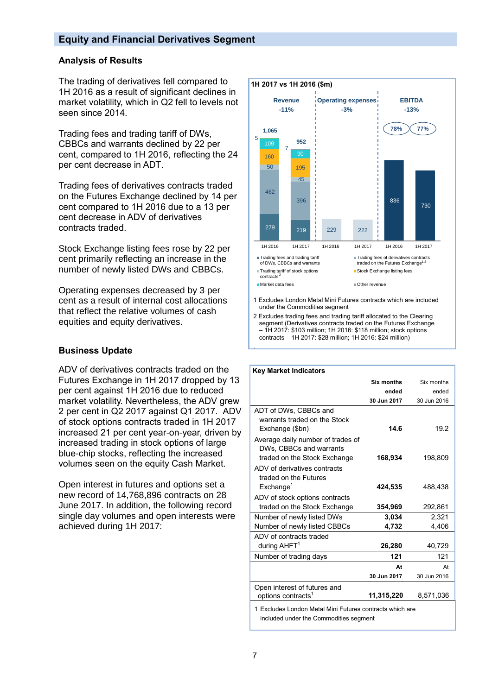#### **Equity and Financial Derivatives Segment**

#### **Analysis of Results**

The trading of derivatives fell compared to 1H 2016 as a result of significant declines in market volatility, which in Q2 fell to levels not seen since 2014.

Trading fees and trading tariff of DWs, CBBCs and warrants declined by 22 per cent, compared to 1H 2016, reflecting the 24 per cent decrease in ADT.

Trading fees of derivatives contracts traded on the Futures Exchange declined by 14 per cent compared to 1H 2016 due to a 13 per cent decrease in ADV of derivatives contracts traded.

Stock Exchange listing fees rose by 22 per cent primarily reflecting an increase in the number of newly listed DWs and CBBCs.

Operating expenses decreased by 3 per cent as a result of internal cost allocations that reflect the relative volumes of cash equities and equity derivatives.

#### **Business Update**

ADV of derivatives contracts traded on the Futures Exchange in 1H 2017 dropped by 13 per cent against 1H 2016 due to reduced market volatility. Nevertheless, the ADV grew 2 per cent in Q2 2017 against Q1 2017. ADV of stock options contracts traded in 1H 2017 increased 21 per cent year-on-year, driven by increased trading in stock options of large blue-chip stocks, reflecting the increased volumes seen on the equity Cash Market.

Open interest in futures and options set a new record of 14,768,896 contracts on 28 June 2017. In addition, the following record single day volumes and open interests were achieved during 1H 2017:



2 Excludes trading fees and trading tariff allocated to the Clearing segment (Derivatives contracts traded on the Futures Exchange – 1H 2017: \$103 million; 1H 2016: \$118 million; stock options contracts – 1H 2017: \$28 million; 1H 2016: \$24 million)

| <b>Key Market Indicators</b>                                                                       |             |             |
|----------------------------------------------------------------------------------------------------|-------------|-------------|
|                                                                                                    | Six months  | Six months  |
|                                                                                                    | ended       | ended       |
|                                                                                                    | 30 Jun 2017 | 30 Jun 2016 |
| ADT of DWs, CBBCs and<br>warrants traded on the Stock<br>Exchange (\$bn)                           | 14.6        | 19.2        |
| Average daily number of trades of<br>DWs. CBBCs and warrants<br>traded on the Stock Exchange       | 168,934     | 198,809     |
| ADV of derivatives contracts<br>traded on the Futures<br>Exchange <sup>1</sup>                     | 424,535     | 488,438     |
| ADV of stock options contracts<br>traded on the Stock Exchange                                     | 354,969     | 292,861     |
| Number of newly listed DWs                                                                         | 3.034       | 2.321       |
| Number of newly listed CBBCs                                                                       | 4,732       | 4,406       |
| ADV of contracts traded                                                                            |             |             |
| during $AHFT1$                                                                                     | 26,280      | 40,729      |
| Number of trading days                                                                             | 121         | 121         |
|                                                                                                    | At          | At          |
|                                                                                                    | 30 Jun 2017 | 30 Jun 2016 |
| Open interest of futures and<br>options contracts <sup>1</sup>                                     | 11,315,220  | 8,571,036   |
| 1 Excludes London Metal Mini Futures contracts which are<br>included under the Commodities seament |             |             |

uded under the Commodities segment

.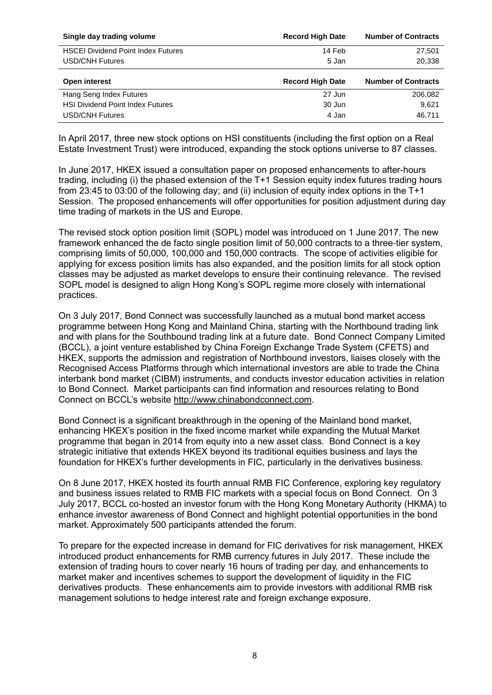| Single day trading volume                 | <b>Record High Date</b> | <b>Number of Contracts</b> |
|-------------------------------------------|-------------------------|----------------------------|
| <b>HSCEI Dividend Point Index Futures</b> | 14 Feb                  | 27,501                     |
| <b>USD/CNH Futures</b>                    | 5 Jan                   | 20,338                     |
|                                           |                         |                            |
| Open interest                             | <b>Record High Date</b> | <b>Number of Contracts</b> |
| Hang Seng Index Futures                   | 27 Jun                  | 206,082                    |
| <b>HSI Dividend Point Index Futures</b>   | 30 Jun                  | 9,621                      |

In April 2017, three new stock options on HSI constituents (including the first option on a Real Estate Investment Trust) were introduced, expanding the stock options universe to 87 classes.

In June 2017, HKEX issued a consultation paper on proposed enhancements to after-hours trading, including (i) the phased extension of the T+1 Session equity index futures trading hours from 23:45 to 03:00 of the following day; and (ii) inclusion of equity index options in the T+1 Session. The proposed enhancements will offer opportunities for position adjustment during day time trading of markets in the US and Europe.

The revised stock option position limit (SOPL) model was introduced on 1 June 2017. The new framework enhanced the de facto single position limit of 50,000 contracts to a three-tier system, comprising limits of 50,000, 100,000 and 150,000 contracts. The scope of activities eligible for applying for excess position limits has also expanded, and the position limits for all stock option classes may be adjusted as market develops to ensure their continuing relevance. The revised SOPL model is designed to align Hong Kong's SOPL regime more closely with international practices.

On 3 July 2017, Bond Connect was successfully launched as a mutual bond market access programme between Hong Kong and Mainland China, starting with the Northbound trading link and with plans for the Southbound trading link at a future date. Bond Connect Company Limited (BCCL), a joint venture established by China Foreign Exchange Trade System (CFETS) and HKEX, supports the admission and registration of Northbound investors, liaises closely with the Recognised Access Platforms through which international investors are able to trade the China interbank bond market (CIBM) instruments, and conducts investor education activities in relation to Bond Connect. Market participants can find information and resources relating to Bond Connect on BCCL's website [http://www.chinabondconnect.com.](http://www.chinabondconnect.com/)

Bond Connect is a significant breakthrough in the opening of the Mainland bond market, enhancing HKEX's position in the fixed income market while expanding the Mutual Market programme that began in 2014 from equity into a new asset class. Bond Connect is a key strategic initiative that extends HKEX beyond its traditional equities business and lays the foundation for HKEX's further developments in FIC, particularly in the derivatives business.

On 8 June 2017, HKEX hosted its fourth annual RMB FIC Conference, exploring key regulatory and business issues related to RMB FIC markets with a special focus on Bond Connect. On 3 July 2017, BCCL co-hosted an investor forum with the Hong Kong Monetary Authority (HKMA) to enhance investor awareness of Bond Connect and highlight potential opportunities in the bond market. Approximately 500 participants attended the forum.

To prepare for the expected increase in demand for FIC derivatives for risk management, HKEX introduced product enhancements for RMB currency futures in July 2017. These include the extension of trading hours to cover nearly 16 hours of trading per day, and enhancements to market maker and incentives schemes to support the development of liquidity in the FIC derivatives products. These enhancements aim to provide investors with additional RMB risk management solutions to hedge interest rate and foreign exchange exposure.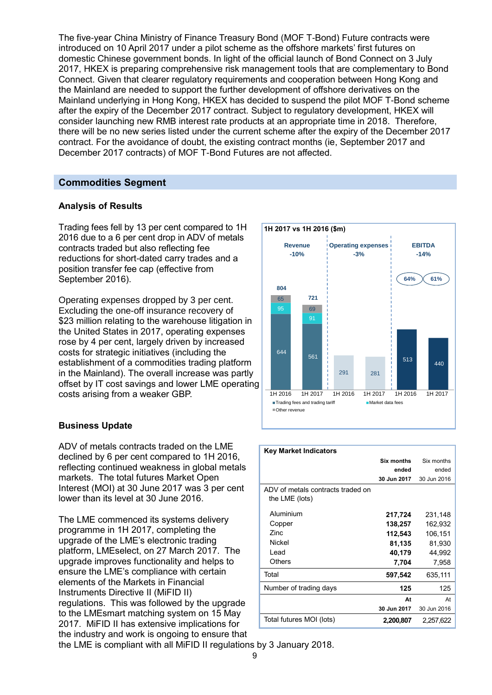The five-year China Ministry of Finance Treasury Bond (MOF T-Bond) Future contracts were introduced on 10 April 2017 under a pilot scheme as the offshore markets' first futures on domestic Chinese government bonds. In light of the official launch of Bond Connect on 3 July 2017, HKEX is preparing comprehensive risk management tools that are complementary to Bond Connect. Given that clearer regulatory requirements and cooperation between Hong Kong and the Mainland are needed to support the further development of offshore derivatives on the Mainland underlying in Hong Kong, HKEX has decided to suspend the pilot MOF T-Bond scheme after the expiry of the December 2017 contract. Subject to regulatory development, HKEX will consider launching new RMB interest rate products at an appropriate time in 2018. Therefore, there will be no new series listed under the current scheme after the expiry of the December 2017 contract. For the avoidance of doubt, the existing contract months (ie, September 2017 and December 2017 contracts) of MOF T-Bond Futures are not affected.

### **Commodities Segment**

#### **Analysis of Results**

Trading fees fell by 13 per cent compared to 1H 2016 due to a 6 per cent drop in ADV of metals contracts traded but also reflecting fee reductions for short-dated carry trades and a position transfer fee cap (effective from September 2016).

Operating expenses dropped by 3 per cent. Excluding the one-off insurance recovery of \$23 million relating to the warehouse litigation in the United States in 2017, operating expenses rose by 4 per cent, largely driven by increased costs for strategic initiatives (including the establishment of a commodities trading platform in the Mainland). The overall increase was partly offset by IT cost savings and lower LME operating costs arising from a weaker GBP.

#### **Business Update**

ADV of metals contracts traded on the LME declined by 6 per cent compared to 1H 2016, reflecting continued weakness in global metals markets. The total futures Market Open Interest (MOI) at 30 June 2017 was 3 per cent lower than its level at 30 June 2016.

The LME commenced its systems delivery programme in 1H 2017, completing the upgrade of the LME's electronic trading platform, LMEselect, on 27 March 2017. The upgrade improves functionality and helps to ensure the LME's compliance with certain elements of the Markets in Financial Instruments Directive II (MiFID II) regulations. This was followed by the upgrade to the LMEsmart matching system on 15 May 2017. MiFID II has extensive implications for the industry and work is ongoing to ensure that



| <b>Key Market Indicators</b>                        |             |             |
|-----------------------------------------------------|-------------|-------------|
|                                                     | Six months  | Six months  |
|                                                     | ended       | ended       |
|                                                     | 30 Jun 2017 | 30 Jun 2016 |
| ADV of metals contracts traded on<br>the LME (lots) |             |             |
| Aluminium                                           | 217,724     | 231,148     |
| Copper                                              | 138,257     | 162,932     |
| Zinc.                                               | 112,543     | 106,151     |
| Nickel                                              | 81,135      | 81,930      |
| Lead                                                | 40,179      | 44,992      |
| Others                                              | 7,704       | 7,958       |
| Total                                               | 597,542     | 635,111     |
| Number of trading days                              | 125         | 125         |
|                                                     | At          | At          |
|                                                     | 30 Jun 2017 | 30 Jun 2016 |
| Total futures MOI (lots)                            | 2,200,807   | 2,257,622   |

the LME is compliant with all MiFID II regulations by 3 January 2018.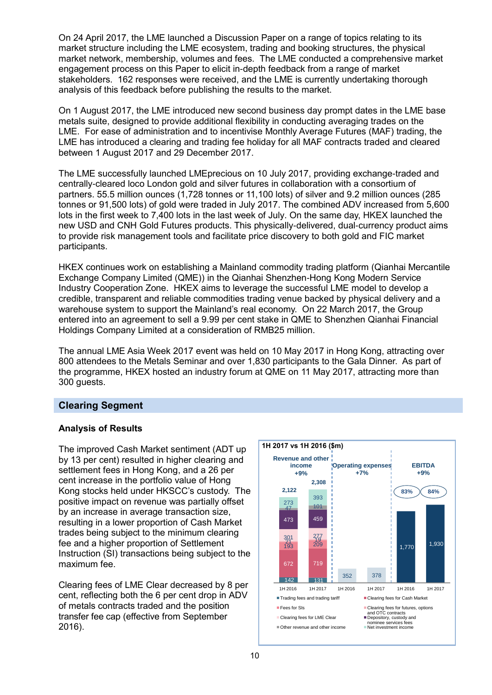On 24 April 2017, the LME launched a Discussion Paper on a range of topics relating to its market structure including the LME ecosystem, trading and booking structures, the physical market network, membership, volumes and fees. The LME conducted a comprehensive market engagement process on this Paper to elicit in-depth feedback from a range of market stakeholders. 162 responses were received, and the LME is currently undertaking thorough analysis of this feedback before publishing the results to the market.

On 1 August 2017, the LME introduced new second business day prompt dates in the LME base metals suite, designed to provide additional flexibility in conducting averaging trades on the LME. For ease of administration and to incentivise Monthly Average Futures (MAF) trading, the LME has introduced a clearing and trading fee holiday for all MAF contracts traded and cleared between 1 August 2017 and 29 December 2017.

The LME successfully launched LMEprecious on 10 July 2017, providing exchange-traded and centrally-cleared loco London gold and silver futures in collaboration with a consortium of partners. 55.5 million ounces (1,728 tonnes or 11,100 lots) of silver and 9.2 million ounces (285 tonnes or 91,500 lots) of gold were traded in July 2017. The combined ADV increased from 5,600 lots in the first week to 7,400 lots in the last week of July. On the same day, HKEX launched the new USD and CNH Gold Futures products. This physically-delivered, dual-currency product aims to provide risk management tools and facilitate price discovery to both gold and FIC market participants.

HKEX continues work on establishing a Mainland commodity trading platform (Qianhai Mercantile Exchange Company Limited (QME)) in the Qianhai Shenzhen-Hong Kong Modern Service Industry Cooperation Zone. HKEX aims to leverage the successful LME model to develop a credible, transparent and reliable commodities trading venue backed by physical delivery and a warehouse system to support the Mainland's real economy. On 22 March 2017, the Group entered into an agreement to sell a 9.99 per cent stake in QME to Shenzhen Qianhai Financial Holdings Company Limited at a consideration of RMB25 million.

The annual LME Asia Week 2017 event was held on 10 May 2017 in Hong Kong, attracting over 800 attendees to the Metals Seminar and over 1,830 participants to the Gala Dinner. As part of the programme, HKEX hosted an industry forum at QME on 11 May 2017, attracting more than 300 guests.

### **Clearing Segment**

### **Analysis of Results**

The improved Cash Market sentiment (ADT up by 13 per cent) resulted in higher clearing and settlement fees in Hong Kong, and a 26 per cent increase in the portfolio value of Hong Kong stocks held under HKSCC's custody. The positive impact on revenue was partially offset by an increase in average transaction size, resulting in a lower proportion of Cash Market trades being subject to the minimum clearing fee and a higher proportion of Settlement Instruction (SI) transactions being subject to the maximum fee.

Clearing fees of LME Clear decreased by 8 per cent, reflecting both the 6 per cent drop in ADV of metals contracts traded and the position transfer fee cap (effective from September 2016).

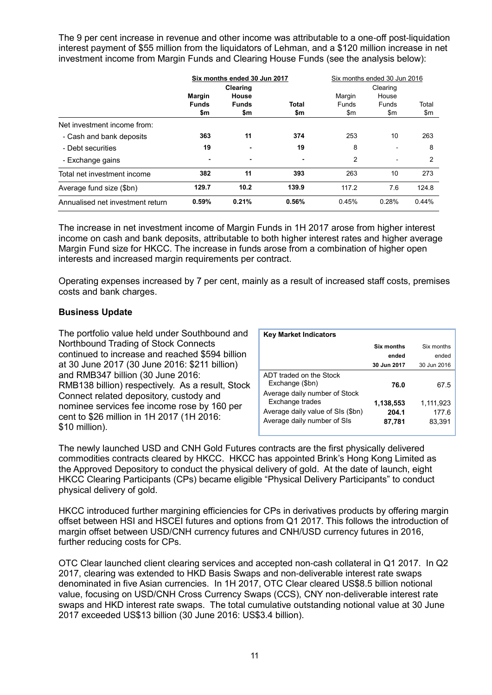The 9 per cent increase in revenue and other income was attributable to a one-off post-liquidation interest payment of \$55 million from the liquidators of Lehman, and a \$120 million increase in net investment income from Margin Funds and Clearing House Funds (see the analysis below):

|                                  | Six months ended 30 Jun 2017         |                                                 |                     | Six months ended 30 Jun 2016  |                                   |              |
|----------------------------------|--------------------------------------|-------------------------------------------------|---------------------|-------------------------------|-----------------------------------|--------------|
|                                  | <b>Margin</b><br><b>Funds</b><br>\$m | <b>Clearing</b><br>House<br><b>Funds</b><br>\$m | <b>Total</b><br>\$m | Margin<br><b>Funds</b><br>\$m | Clearing<br>House<br>Funds<br>\$m | Total<br>\$m |
| Net investment income from:      |                                      |                                                 |                     |                               |                                   |              |
| - Cash and bank deposits         | 363                                  | 11                                              | 374                 | 253                           | 10                                | 263          |
| - Debt securities                | 19                                   |                                                 | 19                  | 8                             | ٠                                 | 8            |
| - Exchange gains                 | ٠                                    | -                                               | $\blacksquare$      | 2                             | $\overline{\phantom{a}}$          | 2            |
| Total net investment income      | 382                                  | 11                                              | 393                 | 263                           | 10                                | 273          |
| Average fund size (\$bn)         | 129.7                                | 10.2                                            | 139.9               | 117.2                         | 7.6                               | 124.8        |
| Annualised net investment return | 0.59%                                | 0.21%                                           | 0.56%               | 0.45%                         | 0.28%                             | 0.44%        |

The increase in net investment income of Margin Funds in 1H 2017 arose from higher interest income on cash and bank deposits, attributable to both higher interest rates and higher average Margin Fund size for HKCC. The increase in funds arose from a combination of higher open interests and increased margin requirements per contract.

Operating expenses increased by 7 per cent, mainly as a result of increased staff costs, premises costs and bank charges.

#### **Business Update**

The portfolio value held under Southbound and Northbound Trading of Stock Connects continued to increase and reached \$594 billion at 30 June 2017 (30 June 2016: \$211 billion) and RMB347 billion (30 June 2016: RMB138 billion) respectively. As a result, Stock Connect related depository, custody and nominee services fee income rose by 160 per cent to \$26 million in 1H 2017 (1H 2016: \$10 million).

| <b>Key Market Indicators</b>                                                                                         |                              |                              |
|----------------------------------------------------------------------------------------------------------------------|------------------------------|------------------------------|
|                                                                                                                      | Six months                   | Six months                   |
|                                                                                                                      | ended                        | ended                        |
|                                                                                                                      | 30 Jun 2017                  | 30 Jun 2016                  |
| ADT traded on the Stock<br>Exchange (\$bn)                                                                           | 76.0                         | 67.5                         |
| Average daily number of Stock<br>Exchange trades<br>Average daily value of SIs (\$bn)<br>Average daily number of SIs | 1,138,553<br>204.1<br>87,781 | 1,111,923<br>177.6<br>83,391 |

The newly launched USD and CNH Gold Futures contracts are the first physically delivered commodities contracts cleared by HKCC. HKCC has appointed Brink's Hong Kong Limited as the Approved Depository to conduct the physical delivery of gold. At the date of launch, eight HKCC Clearing Participants (CPs) became eligible "Physical Delivery Participants" to conduct physical delivery of gold.

HKCC introduced further margining efficiencies for CPs in derivatives products by offering margin offset between HSI and HSCEI futures and options from Q1 2017. This follows the introduction of margin offset between USD/CNH currency futures and CNH/USD currency futures in 2016, further reducing costs for CPs.

OTC Clear launched client clearing services and accepted non-cash collateral in Q1 2017. In Q2 2017, clearing was extended to HKD Basis Swaps and non-deliverable interest rate swaps denominated in five Asian currencies. In 1H 2017, OTC Clear cleared US\$8.5 billion notional value, focusing on USD/CNH Cross Currency Swaps (CCS), CNY non-deliverable interest rate swaps and HKD interest rate swaps. The total cumulative outstanding notional value at 30 June 2017 exceeded US\$13 billion (30 June 2016: US\$3.4 billion).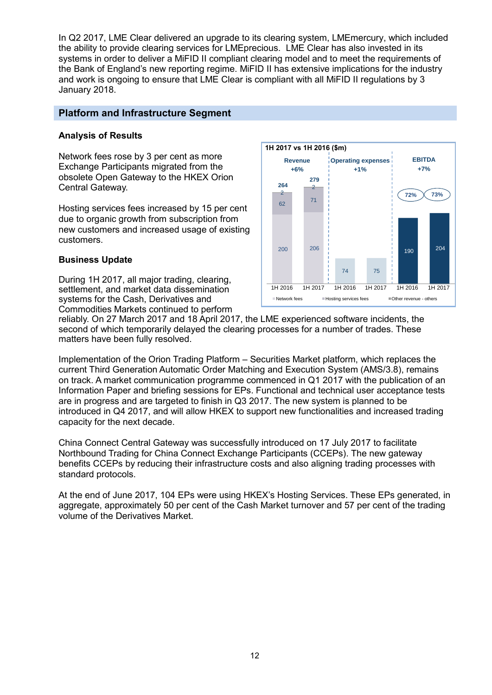In Q2 2017, LME Clear delivered an upgrade to its clearing system, LMEmercury, which included the ability to provide clearing services for LMEprecious. LME Clear has also invested in its systems in order to deliver a MiFID II compliant clearing model and to meet the requirements of the Bank of England's new reporting regime. MiFID II has extensive implications for the industry and work is ongoing to ensure that LME Clear is compliant with all MiFID II regulations by 3 January 2018.

### **Platform and Infrastructure Segment**

#### **Analysis of Results**

Network fees rose by 3 per cent as more Exchange Participants migrated from the obsolete Open Gateway to the HKEX Orion Central Gateway.

Hosting services fees increased by 15 per cent due to organic growth from subscription from new customers and increased usage of existing customers.

#### **Business Update**

During 1H 2017, all major trading, clearing, settlement, and market data dissemination systems for the Cash, Derivatives and Commodities Markets continued to perform



reliably. On 27 March 2017 and 18 April 2017, the LME experienced software incidents, the second of which temporarily delayed the clearing processes for a number of trades. These matters have been fully resolved.

Implementation of the Orion Trading Platform – Securities Market platform, which replaces the current Third Generation Automatic Order Matching and Execution System (AMS/3.8), remains on track. A market communication programme commenced in Q1 2017 with the publication of an Information Paper and briefing sessions for EPs. Functional and technical user acceptance tests are in progress and are targeted to finish in Q3 2017. The new system is planned to be introduced in Q4 2017, and will allow HKEX to support new functionalities and increased trading capacity for the next decade.

China Connect Central Gateway was successfully introduced on 17 July 2017 to facilitate Northbound Trading for China Connect Exchange Participants (CCEPs). The new gateway benefits CCEPs by reducing their infrastructure costs and also aligning trading processes with standard protocols.

At the end of June 2017, 104 EPs were using HKEX's Hosting Services. These EPs generated, in aggregate, approximately 50 per cent of the Cash Market turnover and 57 per cent of the trading volume of the Derivatives Market.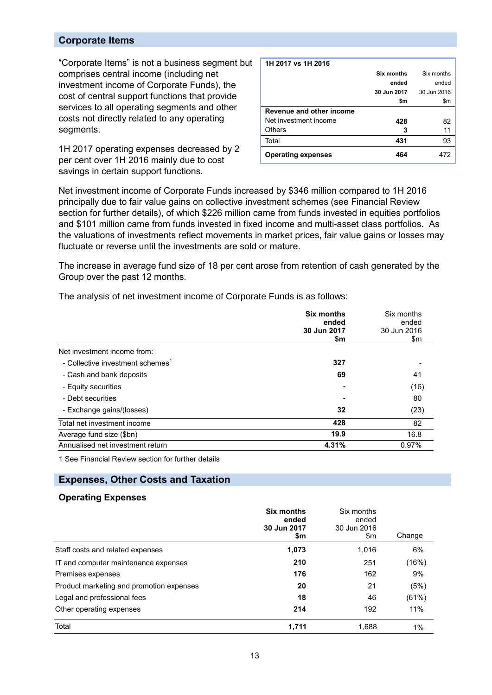#### **Corporate Items**

"Corporate Items" is not a business segment but comprises central income (including net investment income of Corporate Funds), the cost of central support functions that provide services to all operating segments and other costs not directly related to any operating segments.

1H 2017 operating expenses decreased by 2 per cent over 1H 2016 mainly due to cost savings in certain support functions.

| 1H 2017 vs 1H 2016        |             |             |
|---------------------------|-------------|-------------|
|                           | Six months  | Six months  |
|                           | ended       | ended       |
|                           | 30 Jun 2017 | 30 Jun 2016 |
|                           | \$m         | \$m         |
| Revenue and other income  |             |             |
| Net investment income     | 428         | 82          |
| Others                    | 3           | 11          |
| Total                     | 431         | 93          |
| <b>Operating expenses</b> | 464         |             |

Net investment income of Corporate Funds increased by \$346 million compared to 1H 2016 principally due to fair value gains on collective investment schemes (see Financial Review section for further details), of which \$226 million came from funds invested in equities portfolios and \$101 million came from funds invested in fixed income and multi-asset class portfolios. As the valuations of investments reflect movements in market prices, fair value gains or losses may fluctuate or reverse until the investments are sold or mature.

The increase in average fund size of 18 per cent arose from retention of cash generated by the Group over the past 12 months.

The analysis of net investment income of Corporate Funds is as follows:

|                                              | <b>Six months</b><br>ended<br>30 Jun 2017<br>\$m | Six months<br>ended<br>30 Jun 2016<br>\$m |
|----------------------------------------------|--------------------------------------------------|-------------------------------------------|
| Net investment income from:                  |                                                  |                                           |
| - Collective investment schemes <sup>1</sup> | 327                                              |                                           |
| - Cash and bank deposits                     | 69                                               | 41                                        |
| - Equity securities                          |                                                  | (16)                                      |
| - Debt securities                            |                                                  | 80                                        |
| - Exchange gains/(losses)                    | 32                                               | (23)                                      |
| Total net investment income                  | 428                                              | 82                                        |
| Average fund size (\$bn)                     | 19.9                                             | 16.8                                      |
| Annualised net investment return             | 4.31%                                            | 0.97%                                     |

1 See Financial Review section for further details

#### **Expenses, Other Costs and Taxation**

#### **Operating Expenses**

|                                          | Six months<br>ended<br>30 Jun 2017<br>\$m | Six months<br>ended<br>30 Jun 2016<br>\$m | Change |
|------------------------------------------|-------------------------------------------|-------------------------------------------|--------|
| Staff costs and related expenses         | 1,073                                     | 1,016                                     | 6%     |
| IT and computer maintenance expenses     | 210                                       | 251                                       | (16%)  |
| Premises expenses                        | 176                                       | 162                                       | 9%     |
| Product marketing and promotion expenses | 20                                        | 21                                        | (5%)   |
| Legal and professional fees              | 18                                        | 46                                        | (61%)  |
| Other operating expenses                 | 214                                       | 192                                       | 11%    |
| Total                                    | 1,711                                     | 1,688                                     | 1%     |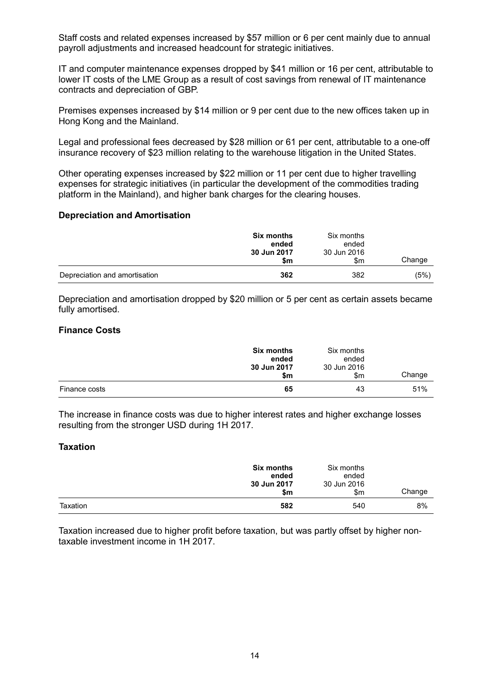Staff costs and related expenses increased by \$57 million or 6 per cent mainly due to annual payroll adjustments and increased headcount for strategic initiatives.

IT and computer maintenance expenses dropped by \$41 million or 16 per cent, attributable to lower IT costs of the LME Group as a result of cost savings from renewal of IT maintenance contracts and depreciation of GBP.

Premises expenses increased by \$14 million or 9 per cent due to the new offices taken up in Hong Kong and the Mainland.

Legal and professional fees decreased by \$28 million or 61 per cent, attributable to a one-off insurance recovery of \$23 million relating to the warehouse litigation in the United States.

Other operating expenses increased by \$22 million or 11 per cent due to higher travelling expenses for strategic initiatives (in particular the development of the commodities trading platform in the Mainland), and higher bank charges for the clearing houses.

#### **Depreciation and Amortisation**

|                               | <b>Six months</b><br>ended<br>30 Jun 2017<br>\$m | Six months<br>ended<br>30 Jun 2016<br>\$m | Change |
|-------------------------------|--------------------------------------------------|-------------------------------------------|--------|
| Depreciation and amortisation | 362                                              | 382                                       | (5%)   |

Depreciation and amortisation dropped by \$20 million or 5 per cent as certain assets became fully amortised.

#### **Finance Costs**

|               | <b>Six months</b><br>ended<br>30 Jun 2017<br>\$m | Six months<br>ended<br>30 Jun 2016<br>\$m | Change |
|---------------|--------------------------------------------------|-------------------------------------------|--------|
| Finance costs | 65                                               | 43                                        | 51%    |

The increase in finance costs was due to higher interest rates and higher exchange losses resulting from the stronger USD during 1H 2017.

#### **Taxation**

|          | <b>Six months</b><br>ended<br>30 Jun 2017<br>\$m | Six months<br>ended<br>30 Jun 2016<br>\$m | Change |
|----------|--------------------------------------------------|-------------------------------------------|--------|
| Taxation | 582                                              | 540                                       | 8%     |

Taxation increased due to higher profit before taxation, but was partly offset by higher nontaxable investment income in 1H 2017.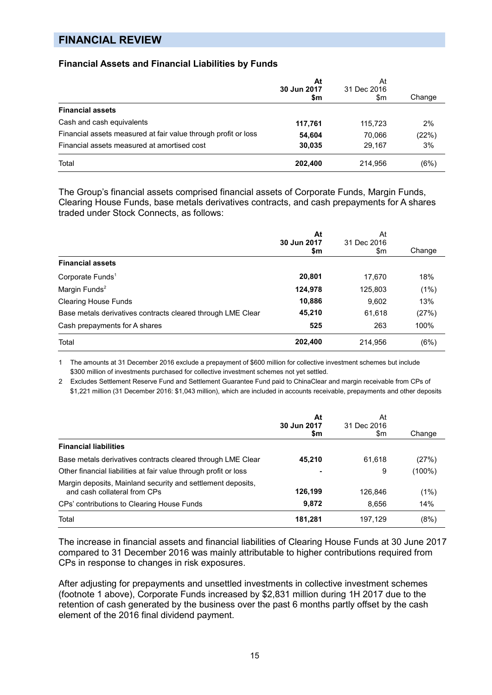## **FINANCIAL REVIEW**

#### **Financial Assets and Financial Liabilities by Funds**

|                                                                | At<br>30 Jun 2017<br>\$m | At<br>31 Dec 2016<br>\$m | Change |
|----------------------------------------------------------------|--------------------------|--------------------------|--------|
| <b>Financial assets</b>                                        |                          |                          |        |
| Cash and cash equivalents                                      | 117,761                  | 115.723                  | 2%     |
| Financial assets measured at fair value through profit or loss | 54,604                   | 70.066                   | (22%)  |
| Financial assets measured at amortised cost                    | 30,035                   | 29.167                   | 3%     |
| Total                                                          | 202,400                  | 214,956                  | (6%)   |

The Group's financial assets comprised financial assets of Corporate Funds, Margin Funds, Clearing House Funds, base metals derivatives contracts, and cash prepayments for A shares traded under Stock Connects, as follows:

|                                                             | At<br>30 Jun 2017 | At<br>31 Dec 2016 |        |
|-------------------------------------------------------------|-------------------|-------------------|--------|
|                                                             | \$m               | \$m               | Change |
| <b>Financial assets</b>                                     |                   |                   |        |
| Corporate Funds <sup>1</sup>                                | 20,801            | 17.670            | 18%    |
| Margin Funds <sup>2</sup>                                   | 124,978           | 125,803           | (1%)   |
| <b>Clearing House Funds</b>                                 | 10,886            | 9,602             | 13%    |
| Base metals derivatives contracts cleared through LME Clear | 45,210            | 61,618            | (27%)  |
| Cash prepayments for A shares                               | 525               | 263               | 100%   |
| Total                                                       | 202,400           | 214,956           | (6%)   |

1 The amounts at 31 December 2016 exclude a prepayment of \$600 million for collective investment schemes but include \$300 million of investments purchased for collective investment schemes not yet settled.

2 Excludes Settlement Reserve Fund and Settlement Guarantee Fund paid to ChinaClear and margin receivable from CPs of \$1,221 million (31 December 2016: \$1,043 million), which are included in accounts receivable, prepayments and other deposits

|                                                                                             | At<br>30 Jun 2017<br>\$m | At<br>31 Dec 2016<br>\$m | Change |
|---------------------------------------------------------------------------------------------|--------------------------|--------------------------|--------|
| <b>Financial liabilities</b>                                                                |                          |                          |        |
| Base metals derivatives contracts cleared through LME Clear                                 | 45,210                   | 61.618                   | (27%)  |
| Other financial liabilities at fair value through profit or loss                            | $\blacksquare$           | 9                        | (100%) |
| Margin deposits, Mainland security and settlement deposits,<br>and cash collateral from CPs | 126,199                  | 126.846                  | (1%)   |
| CPs' contributions to Clearing House Funds                                                  | 9,872                    | 8.656                    | 14%    |
| Total                                                                                       | 181.281                  | 197.129                  | (8%)   |

The increase in financial assets and financial liabilities of Clearing House Funds at 30 June 2017 compared to 31 December 2016 was mainly attributable to higher contributions required from CPs in response to changes in risk exposures.

After adjusting for prepayments and unsettled investments in collective investment schemes (footnote 1 above), Corporate Funds increased by \$2,831 million during 1H 2017 due to the retention of cash generated by the business over the past 6 months partly offset by the cash element of the 2016 final dividend payment.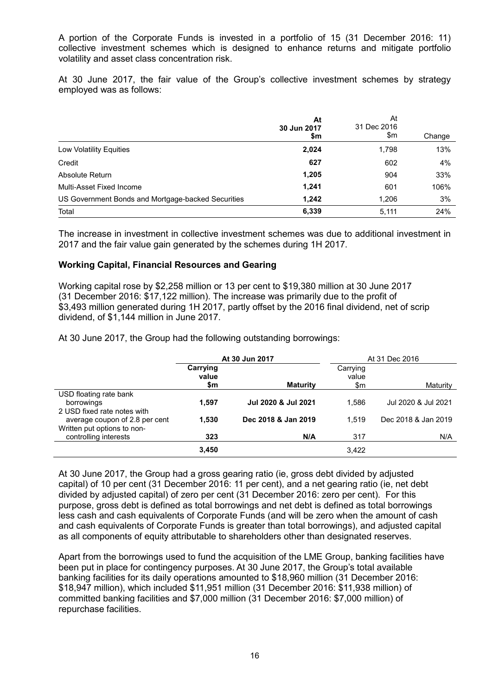A portion of the Corporate Funds is invested in a portfolio of 15 (31 December 2016: 11) collective investment schemes which is designed to enhance returns and mitigate portfolio volatility and asset class concentration risk.

At 30 June 2017, the fair value of the Group's collective investment schemes by strategy employed was as follows:

|                                                    | At<br>30 Jun 2017<br>\$m | At<br>31 Dec 2016<br>\$m | Change |
|----------------------------------------------------|--------------------------|--------------------------|--------|
| Low Volatility Equities                            | 2,024                    | 1,798                    | 13%    |
| Credit                                             | 627                      | 602                      | 4%     |
| Absolute Return                                    | 1,205                    | 904                      | 33%    |
| Multi-Asset Fixed Income                           | 1,241                    | 601                      | 106%   |
| US Government Bonds and Mortgage-backed Securities | 1,242                    | 1.206                    | 3%     |
| Total                                              | 6,339                    | 5,111                    | 24%    |

The increase in investment in collective investment schemes was due to additional investment in 2017 and the fair value gain generated by the schemes during 1H 2017.

#### **Working Capital, Financial Resources and Gearing**

Working capital rose by \$2,258 million or 13 per cent to \$19,380 million at 30 June 2017 (31 December 2016: \$17,122 million). The increase was primarily due to the profit of \$3,493 million generated during 1H 2017, partly offset by the 2016 final dividend, net of scrip dividend, of \$1,144 million in June 2017.

At 30 June 2017, the Group had the following outstanding borrowings:

|                                                                     | At 30 Jun 2017           |                     |                          | At 31 Dec 2016      |
|---------------------------------------------------------------------|--------------------------|---------------------|--------------------------|---------------------|
|                                                                     | Carrying<br>value<br>\$m | <b>Maturity</b>     | Carrying<br>value<br>\$m | Maturity            |
| USD floating rate bank<br>borrowings<br>2 USD fixed rate notes with | 1.597                    | Jul 2020 & Jul 2021 | 1.586                    | Jul 2020 & Jul 2021 |
| average coupon of 2.8 per cent<br>Written put options to non-       | 1.530                    | Dec 2018 & Jan 2019 | 1.519                    | Dec 2018 & Jan 2019 |
| controlling interests                                               | 323                      | N/A                 | 317                      | N/A                 |
|                                                                     | 3,450                    |                     | 3,422                    |                     |

At 30 June 2017, the Group had a gross gearing ratio (ie, gross debt divided by adjusted capital) of 10 per cent (31 December 2016: 11 per cent), and a net gearing ratio (ie, net debt divided by adjusted capital) of zero per cent (31 December 2016: zero per cent). For this purpose, gross debt is defined as total borrowings and net debt is defined as total borrowings less cash and cash equivalents of Corporate Funds (and will be zero when the amount of cash and cash equivalents of Corporate Funds is greater than total borrowings), and adjusted capital as all components of equity attributable to shareholders other than designated reserves.

Apart from the borrowings used to fund the acquisition of the LME Group, banking facilities have been put in place for contingency purposes. At 30 June 2017, the Group's total available banking facilities for its daily operations amounted to \$18,960 million (31 December 2016: \$18,947 million), which included \$11,951 million (31 December 2016: \$11,938 million) of committed banking facilities and \$7,000 million (31 December 2016: \$7,000 million) of repurchase facilities.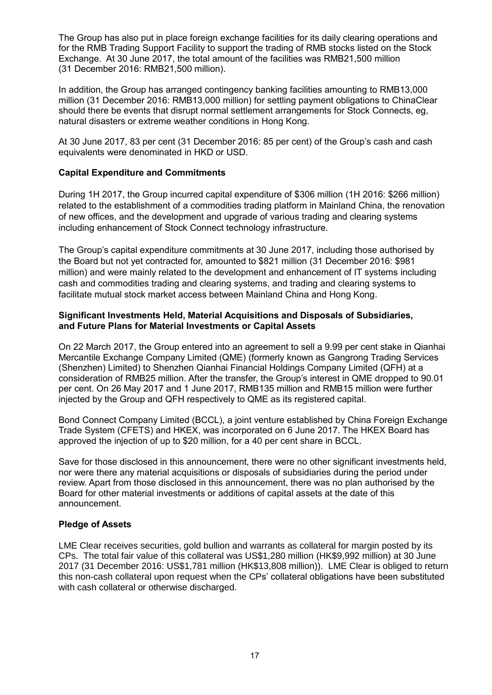The Group has also put in place foreign exchange facilities for its daily clearing operations and for the RMB Trading Support Facility to support the trading of RMB stocks listed on the Stock Exchange. At 30 June 2017, the total amount of the facilities was RMB21,500 million (31 December 2016: RMB21,500 million).

In addition, the Group has arranged contingency banking facilities amounting to RMB13,000 million (31 December 2016: RMB13,000 million) for settling payment obligations to ChinaClear should there be events that disrupt normal settlement arrangements for Stock Connects, eg, natural disasters or extreme weather conditions in Hong Kong.

At 30 June 2017, 83 per cent (31 December 2016: 85 per cent) of the Group's cash and cash equivalents were denominated in HKD or USD.

#### **Capital Expenditure and Commitments**

During 1H 2017, the Group incurred capital expenditure of \$306 million (1H 2016: \$266 million) related to the establishment of a commodities trading platform in Mainland China, the renovation of new offices, and the development and upgrade of various trading and clearing systems including enhancement of Stock Connect technology infrastructure.

The Group's capital expenditure commitments at 30 June 2017, including those authorised by the Board but not yet contracted for, amounted to \$821 million (31 December 2016: \$981 million) and were mainly related to the development and enhancement of IT systems including cash and commodities trading and clearing systems, and trading and clearing systems to facilitate mutual stock market access between Mainland China and Hong Kong.

#### **Significant Investments Held, Material Acquisitions and Disposals of Subsidiaries, and Future Plans for Material Investments or Capital Assets**

On 22 March 2017, the Group entered into an agreement to sell a 9.99 per cent stake in Qianhai Mercantile Exchange Company Limited (QME) (formerly known as Gangrong Trading Services (Shenzhen) Limited) to Shenzhen Qianhai Financial Holdings Company Limited (QFH) at a consideration of RMB25 million. After the transfer, the Group's interest in QME dropped to 90.01 per cent. On 26 May 2017 and 1 June 2017, RMB135 million and RMB15 million were further injected by the Group and QFH respectively to QME as its registered capital.

Bond Connect Company Limited (BCCL), a joint venture established by China Foreign Exchange Trade System (CFETS) and HKEX, was incorporated on 6 June 2017. The HKEX Board has approved the injection of up to \$20 million, for a 40 per cent share in BCCL.

Save for those disclosed in this announcement, there were no other significant investments held, nor were there any material acquisitions or disposals of subsidiaries during the period under review. Apart from those disclosed in this announcement, there was no plan authorised by the Board for other material investments or additions of capital assets at the date of this announcement.

#### **Pledge of Assets**

LME Clear receives securities, gold bullion and warrants as collateral for margin posted by its CPs. The total fair value of this collateral was US\$1,280 million (HK\$9,992 million) at 30 June 2017 (31 December 2016: US\$1,781 million (HK\$13,808 million)). LME Clear is obliged to return this non-cash collateral upon request when the CPs' collateral obligations have been substituted with cash collateral or otherwise discharged.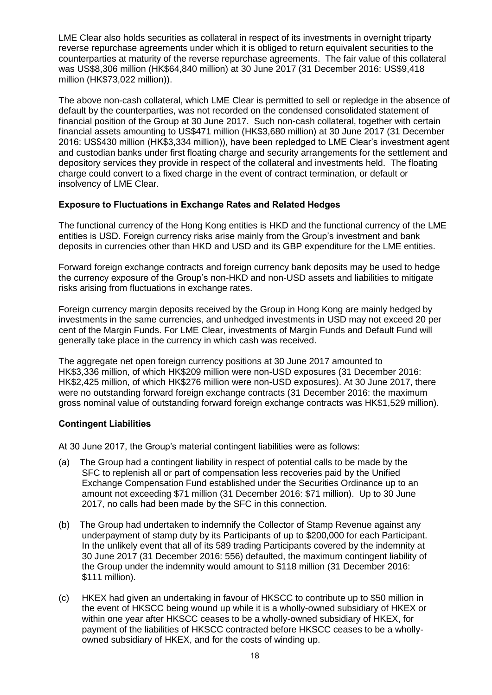LME Clear also holds securities as collateral in respect of its investments in overnight triparty reverse repurchase agreements under which it is obliged to return equivalent securities to the counterparties at maturity of the reverse repurchase agreements. The fair value of this collateral was US\$8,306 million (HK\$64,840 million) at 30 June 2017 (31 December 2016: US\$9,418 million (HK\$73,022 million)).

The above non-cash collateral, which LME Clear is permitted to sell or repledge in the absence of default by the counterparties, was not recorded on the condensed consolidated statement of financial position of the Group at 30 June 2017. Such non-cash collateral, together with certain financial assets amounting to US\$471 million (HK\$3,680 million) at 30 June 2017 (31 December 2016: US\$430 million (HK\$3,334 million)), have been repledged to LME Clear's investment agent and custodian banks under first floating charge and security arrangements for the settlement and depository services they provide in respect of the collateral and investments held. The floating charge could convert to a fixed charge in the event of contract termination, or default or insolvency of LME Clear.

#### **Exposure to Fluctuations in Exchange Rates and Related Hedges**

The functional currency of the Hong Kong entities is HKD and the functional currency of the LME entities is USD. Foreign currency risks arise mainly from the Group's investment and bank deposits in currencies other than HKD and USD and its GBP expenditure for the LME entities.

Forward foreign exchange contracts and foreign currency bank deposits may be used to hedge the currency exposure of the Group's non-HKD and non-USD assets and liabilities to mitigate risks arising from fluctuations in exchange rates.

Foreign currency margin deposits received by the Group in Hong Kong are mainly hedged by investments in the same currencies, and unhedged investments in USD may not exceed 20 per cent of the Margin Funds. For LME Clear, investments of Margin Funds and Default Fund will generally take place in the currency in which cash was received.

The aggregate net open foreign currency positions at 30 June 2017 amounted to HK\$3,336 million, of which HK\$209 million were non-USD exposures (31 December 2016: HK\$2,425 million, of which HK\$276 million were non-USD exposures). At 30 June 2017, there were no outstanding forward foreign exchange contracts (31 December 2016: the maximum gross nominal value of outstanding forward foreign exchange contracts was HK\$1,529 million).

### **Contingent Liabilities**

At 30 June 2017, the Group's material contingent liabilities were as follows:

- (a) The Group had a contingent liability in respect of potential calls to be made by the SFC to replenish all or part of compensation less recoveries paid by the Unified Exchange Compensation Fund established under the Securities Ordinance up to an amount not exceeding \$71 million (31 December 2016: \$71 million). Up to 30 June 2017, no calls had been made by the SFC in this connection.
- (b) The Group had undertaken to indemnify the Collector of Stamp Revenue against any underpayment of stamp duty by its Participants of up to \$200,000 for each Participant. In the unlikely event that all of its 589 trading Participants covered by the indemnity at 30 June 2017 (31 December 2016: 556) defaulted, the maximum contingent liability of the Group under the indemnity would amount to \$118 million (31 December 2016: \$111 million).
- (c) HKEX had given an undertaking in favour of HKSCC to contribute up to \$50 million in the event of HKSCC being wound up while it is a wholly-owned subsidiary of HKEX or within one year after HKSCC ceases to be a wholly-owned subsidiary of HKEX, for payment of the liabilities of HKSCC contracted before HKSCC ceases to be a whollyowned subsidiary of HKEX, and for the costs of winding up.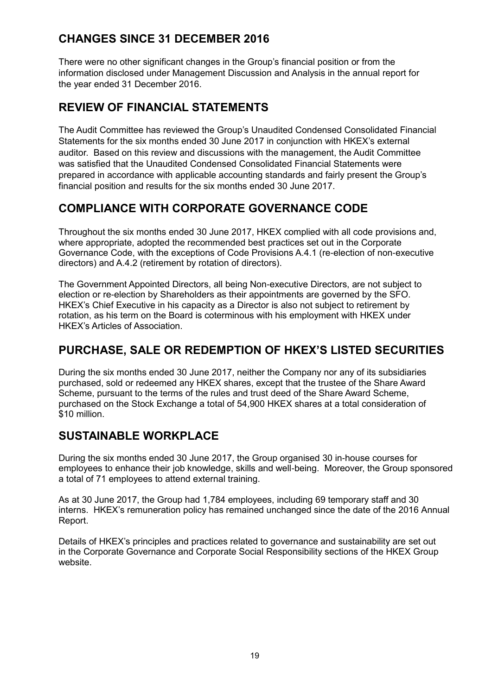# **CHANGES SINCE 31 DECEMBER 2016**

There were no other significant changes in the Group's financial position or from the information disclosed under Management Discussion and Analysis in the annual report for the year ended 31 December 2016.

# **REVIEW OF FINANCIAL STATEMENTS**

The Audit Committee has reviewed the Group's Unaudited Condensed Consolidated Financial Statements for the six months ended 30 June 2017 in conjunction with HKEX's external auditor. Based on this review and discussions with the management, the Audit Committee was satisfied that the Unaudited Condensed Consolidated Financial Statements were prepared in accordance with applicable accounting standards and fairly present the Group's financial position and results for the six months ended 30 June 2017.

# **COMPLIANCE WITH CORPORATE GOVERNANCE CODE**

Throughout the six months ended 30 June 2017, HKEX complied with all code provisions and, where appropriate, adopted the recommended best practices set out in the Corporate Governance Code, with the exceptions of Code Provisions A.4.1 (re-election of non-executive directors) and A.4.2 (retirement by rotation of directors).

The Government Appointed Directors, all being Non-executive Directors, are not subject to election or re-election by Shareholders as their appointments are governed by the SFO. HKEX's Chief Executive in his capacity as a Director is also not subject to retirement by rotation, as his term on the Board is coterminous with his employment with HKEX under HKEX's Articles of Association.

# **PURCHASE, SALE OR REDEMPTION OF HKEX'S LISTED SECURITIES**

During the six months ended 30 June 2017, neither the Company nor any of its subsidiaries purchased, sold or redeemed any HKEX shares, except that the trustee of the Share Award Scheme, pursuant to the terms of the rules and trust deed of the Share Award Scheme, purchased on the Stock Exchange a total of 54,900 HKEX shares at a total consideration of \$10 million.

# **SUSTAINABLE WORKPLACE**

During the six months ended 30 June 2017, the Group organised 30 in-house courses for employees to enhance their job knowledge, skills and well-being. Moreover, the Group sponsored a total of 71 employees to attend external training.

As at 30 June 2017, the Group had 1,784 employees, including 69 temporary staff and 30 interns. HKEX's remuneration policy has remained unchanged since the date of the 2016 Annual Report.

Details of HKEX's principles and practices related to governance and sustainability are set out in the Corporate Governance and Corporate Social Responsibility sections of the HKEX Group website.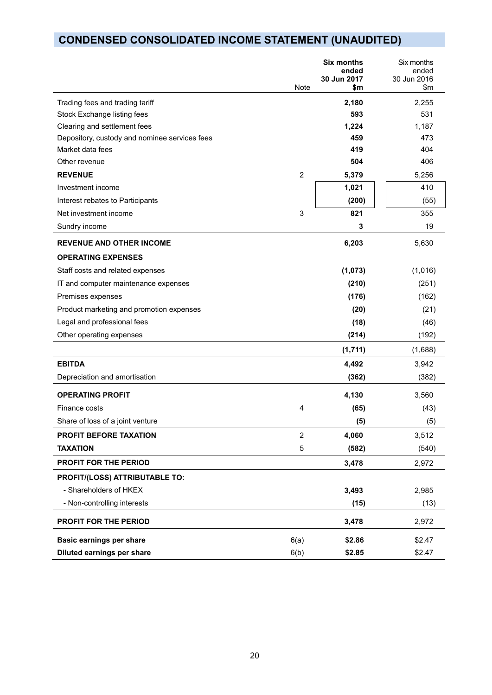# **CONDENSED CONSOLIDATED INCOME STATEMENT (UNAUDITED)**

|                                               | Note           | <b>Six months</b><br>ended<br>30 Jun 2017<br>\$m | Six months<br>ended<br>30 Jun 2016<br>$\mathsf{S}$ m |
|-----------------------------------------------|----------------|--------------------------------------------------|------------------------------------------------------|
| Trading fees and trading tariff               |                | 2,180                                            | 2,255                                                |
| Stock Exchange listing fees                   |                | 593                                              | 531                                                  |
| Clearing and settlement fees                  |                | 1,224                                            | 1,187                                                |
| Depository, custody and nominee services fees |                | 459                                              | 473                                                  |
| Market data fees                              |                | 419                                              | 404                                                  |
| Other revenue                                 |                | 504                                              | 406                                                  |
| <b>REVENUE</b>                                | $\overline{2}$ | 5,379                                            | 5,256                                                |
| Investment income                             |                | 1,021                                            | 410                                                  |
| Interest rebates to Participants              |                | (200)                                            | (55)                                                 |
| Net investment income                         | 3              | 821                                              | 355                                                  |
| Sundry income                                 |                | 3                                                | 19                                                   |
| <b>REVENUE AND OTHER INCOME</b>               |                | 6,203                                            | 5,630                                                |
| <b>OPERATING EXPENSES</b>                     |                |                                                  |                                                      |
| Staff costs and related expenses              |                | (1,073)                                          | (1,016)                                              |
| IT and computer maintenance expenses          |                | (210)                                            | (251)                                                |
| Premises expenses                             |                | (176)                                            | (162)                                                |
| Product marketing and promotion expenses      |                | (20)                                             | (21)                                                 |
| Legal and professional fees                   |                | (18)                                             | (46)                                                 |
| Other operating expenses                      |                | (214)                                            | (192)                                                |
|                                               |                | (1,711)                                          | (1,688)                                              |
| <b>EBITDA</b>                                 |                | 4,492                                            | 3,942                                                |
| Depreciation and amortisation                 |                | (362)                                            | (382)                                                |
| <b>OPERATING PROFIT</b>                       |                | 4,130                                            | 3,560                                                |
| Finance costs                                 | 4              | (65)                                             | (43)                                                 |
| Share of loss of a joint venture              |                | (5)                                              | (5)                                                  |
| PROFIT BEFORE TAXATION                        | $\overline{2}$ | 4,060                                            | 3,512                                                |
| <b>TAXATION</b>                               | $\mathbf 5$    | (582)                                            | (540)                                                |
| PROFIT FOR THE PERIOD                         |                | 3,478                                            | 2,972                                                |
| PROFIT/(LOSS) ATTRIBUTABLE TO:                |                |                                                  |                                                      |
| - Shareholders of HKEX                        |                | 3,493                                            | 2,985                                                |
| - Non-controlling interests                   |                | (15)                                             | (13)                                                 |
| PROFIT FOR THE PERIOD                         |                | 3,478                                            | 2,972                                                |
| <b>Basic earnings per share</b>               | 6(a)           | \$2.86                                           | \$2.47                                               |
| Diluted earnings per share                    | 6(b)           | \$2.85                                           | \$2.47                                               |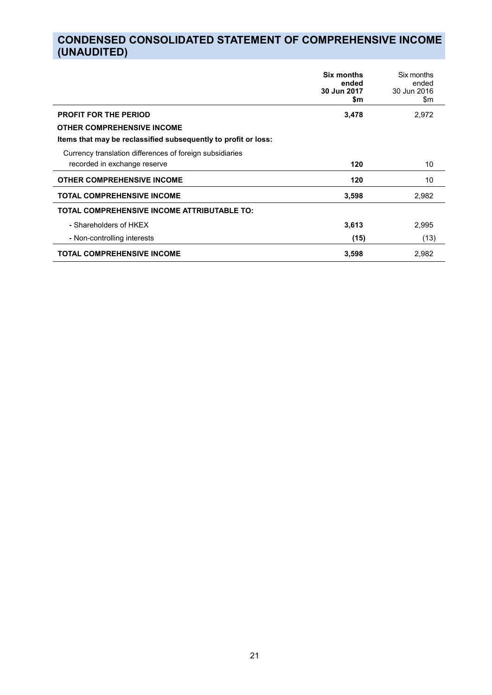# **CONDENSED CONSOLIDATED STATEMENT OF COMPREHENSIVE INCOME (UNAUDITED)**

|                                                                | Six months<br>ended<br>30 Jun 2017<br>\$m | Six months<br>ended<br>30 Jun 2016<br>\$m |
|----------------------------------------------------------------|-------------------------------------------|-------------------------------------------|
| <b>PROFIT FOR THE PERIOD</b>                                   | 3,478                                     | 2,972                                     |
| <b>OTHER COMPREHENSIVE INCOME</b>                              |                                           |                                           |
| Items that may be reclassified subsequently to profit or loss: |                                           |                                           |
| Currency translation differences of foreign subsidiaries       |                                           |                                           |
| recorded in exchange reserve                                   | 120                                       | 10                                        |
| <b>OTHER COMPREHENSIVE INCOME</b>                              | 120                                       | 10                                        |
| <b>TOTAL COMPREHENSIVE INCOME</b>                              | 3,598                                     | 2,982                                     |
| TOTAL COMPREHENSIVE INCOME ATTRIBUTABLE TO:                    |                                           |                                           |
| - Shareholders of HKEX                                         | 3,613                                     | 2,995                                     |
| - Non-controlling interests                                    | (15)                                      | (13)                                      |
| <b>TOTAL COMPREHENSIVE INCOME</b>                              | 3,598                                     | 2,982                                     |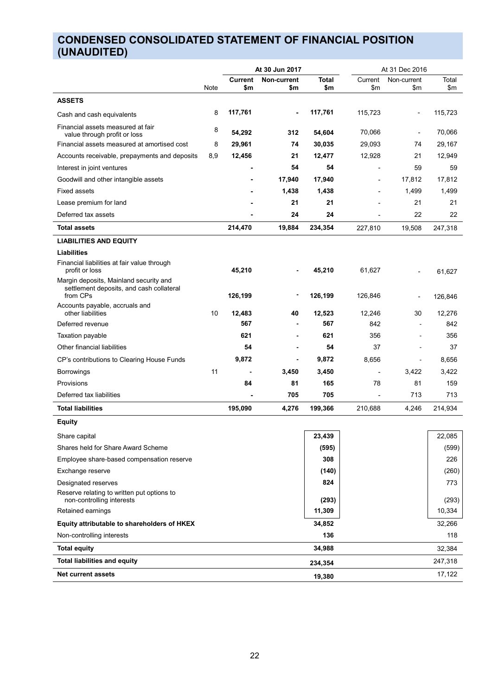# **CONDENSED CONSOLIDATED STATEMENT OF FINANCIAL POSITION (UNAUDITED)**

|                                                                                                |      | At 30 Jun 2017 |             | At 31 Dec 2016 |                              |                |         |
|------------------------------------------------------------------------------------------------|------|----------------|-------------|----------------|------------------------------|----------------|---------|
|                                                                                                |      | <b>Current</b> | Non-current | <b>Total</b>   | Current                      | Non-current    | Total   |
|                                                                                                | Note | \$m            | \$m         | \$m            | \$m                          | \$m            | \$m     |
| <b>ASSETS</b>                                                                                  |      |                |             |                |                              |                |         |
| Cash and cash equivalents                                                                      | 8    | 117,761        |             | 117,761        | 115,723                      |                | 115,723 |
| Financial assets measured at fair<br>value through profit or loss                              | 8    | 54,292         | 312         | 54,604         | 70,066                       |                | 70,066  |
| Financial assets measured at amortised cost                                                    | 8    | 29,961         | 74          | 30,035         | 29,093                       | 74             | 29,167  |
| Accounts receivable, prepayments and deposits                                                  | 8,9  | 12,456         | 21          | 12,477         | 12,928                       | 21             | 12,949  |
| Interest in joint ventures                                                                     |      |                | 54          | 54             |                              | 59             | 59      |
| Goodwill and other intangible assets                                                           |      |                | 17,940      | 17,940         | ٠                            | 17,812         | 17,812  |
| <b>Fixed assets</b>                                                                            |      |                | 1,438       | 1,438          |                              | 1,499          | 1,499   |
| Lease premium for land                                                                         |      |                | 21          | 21             |                              | 21             | 21      |
| Deferred tax assets                                                                            |      |                | 24          | 24             | ä,                           | 22             | 22      |
| <b>Total assets</b>                                                                            |      | 214,470        | 19,884      | 234,354        | 227,810                      | 19,508         | 247,318 |
| <b>LIABILITIES AND EQUITY</b>                                                                  |      |                |             |                |                              |                |         |
| <b>Liabilities</b>                                                                             |      |                |             |                |                              |                |         |
| Financial liabilities at fair value through<br>profit or loss                                  |      | 45,210         |             | 45,210         | 61,627                       |                | 61,627  |
| Margin deposits, Mainland security and<br>settlement deposits, and cash collateral<br>from CPs |      | 126,199        |             | 126,199        | 126,846                      |                | 126,846 |
| Accounts payable, accruals and<br>other liabilities                                            | 10   | 12,483         | 40          | 12,523         | 12,246                       | 30             | 12,276  |
| Deferred revenue                                                                               |      | 567            |             | 567            | 842                          | $\blacksquare$ | 842     |
| Taxation payable                                                                               |      | 621            |             | 621            | 356                          | $\blacksquare$ | 356     |
| Other financial liabilities                                                                    |      | 54             |             | 54             | 37                           |                | 37      |
| CP's contributions to Clearing House Funds                                                     |      | 9,872          | -           | 9,872          | 8,656                        | ÷,             | 8,656   |
| <b>Borrowings</b>                                                                              | 11   | -              | 3,450       | 3,450          | $\qquad \qquad \blacksquare$ | 3,422          | 3,422   |
| Provisions                                                                                     |      | 84             | 81          | 165            | 78                           | 81             | 159     |
| Deferred tax liabilities                                                                       |      |                | 705         | 705            | $\overline{\phantom{m}}$     | 713            | 713     |
| <b>Total liabilities</b>                                                                       |      | 195,090        | 4,276       | 199,366        | 210,688                      | 4,246          | 214,934 |
| <b>Equity</b>                                                                                  |      |                |             |                |                              |                |         |
| Share capital                                                                                  |      |                |             | 23,439         |                              |                | 22,085  |
| Shares held for Share Award Scheme                                                             |      |                |             | (595)          |                              |                | (599)   |
| Employee share-based compensation reserve                                                      |      |                |             | 308            |                              |                | 226     |
| Exchange reserve                                                                               |      |                |             | (140)          |                              |                | (260)   |
| Designated reserves                                                                            |      |                |             | 824            |                              |                | 773     |
| Reserve relating to written put options to<br>non-controlling interests                        |      |                |             | (293)          |                              |                | (293)   |
| Retained earnings                                                                              |      |                |             | 11,309         |                              |                | 10,334  |
| Equity attributable to shareholders of HKEX                                                    |      |                |             | 34,852         |                              |                | 32,266  |
| Non-controlling interests                                                                      |      |                |             | 136            |                              |                | 118     |
| <b>Total equity</b>                                                                            |      |                |             | 34,988         |                              |                | 32,384  |
| <b>Total liabilities and equity</b>                                                            |      |                |             | 234,354        |                              |                | 247,318 |
| <b>Net current assets</b>                                                                      |      |                |             | 19,380         |                              |                | 17,122  |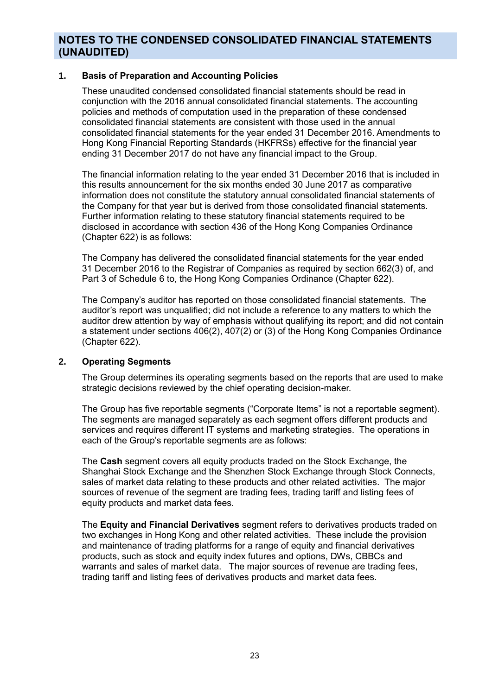#### **1. Basis of Preparation and Accounting Policies**

These unaudited condensed consolidated financial statements should be read in conjunction with the 2016 annual consolidated financial statements. The accounting policies and methods of computation used in the preparation of these condensed consolidated financial statements are consistent with those used in the annual consolidated financial statements for the year ended 31 December 2016. Amendments to Hong Kong Financial Reporting Standards (HKFRSs) effective for the financial year ending 31 December 2017 do not have any financial impact to the Group.

The financial information relating to the year ended 31 December 2016 that is included in this results announcement for the six months ended 30 June 2017 as comparative information does not constitute the statutory annual consolidated financial statements of the Company for that year but is derived from those consolidated financial statements. Further information relating to these statutory financial statements required to be disclosed in accordance with section 436 of the Hong Kong Companies Ordinance (Chapter 622) is as follows:

The Company has delivered the consolidated financial statements for the year ended 31 December 2016 to the Registrar of Companies as required by section 662(3) of, and Part 3 of Schedule 6 to, the Hong Kong Companies Ordinance (Chapter 622).

The Company's auditor has reported on those consolidated financial statements. The auditor's report was unqualified; did not include a reference to any matters to which the auditor drew attention by way of emphasis without qualifying its report; and did not contain a statement under sections 406(2), 407(2) or (3) of the Hong Kong Companies Ordinance (Chapter 622).

#### **2. Operating Segments**

The Group determines its operating segments based on the reports that are used to make strategic decisions reviewed by the chief operating decision-maker.

The Group has five reportable segments ("Corporate Items" is not a reportable segment). The segments are managed separately as each segment offers different products and services and requires different IT systems and marketing strategies. The operations in each of the Group's reportable segments are as follows:

The **Cash** segment covers all equity products traded on the Stock Exchange, the Shanghai Stock Exchange and the Shenzhen Stock Exchange through Stock Connects, sales of market data relating to these products and other related activities. The major sources of revenue of the segment are trading fees, trading tariff and listing fees of equity products and market data fees.

The **Equity and Financial Derivatives** segment refers to derivatives products traded on two exchanges in Hong Kong and other related activities. These include the provision and maintenance of trading platforms for a range of equity and financial derivatives products, such as stock and equity index futures and options, DWs, CBBCs and warrants and sales of market data. The major sources of revenue are trading fees, trading tariff and listing fees of derivatives products and market data fees.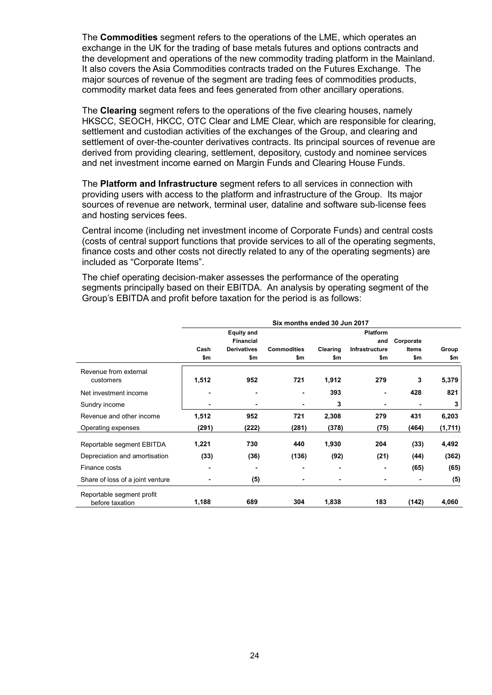The **Commodities** segment refers to the operations of the LME, which operates an exchange in the UK for the trading of base metals futures and options contracts and the development and operations of the new commodity trading platform in the Mainland. It also covers the Asia Commodities contracts traded on the Futures Exchange. The major sources of revenue of the segment are trading fees of commodities products, commodity market data fees and fees generated from other ancillary operations.

The **Clearing** segment refers to the operations of the five clearing houses, namely HKSCC, SEOCH, HKCC, OTC Clear and LME Clear, which are responsible for clearing, settlement and custodian activities of the exchanges of the Group, and clearing and settlement of over-the-counter derivatives contracts. Its principal sources of revenue are derived from providing clearing, settlement, depository, custody and nominee services and net investment income earned on Margin Funds and Clearing House Funds.

The **Platform and Infrastructure** segment refers to all services in connection with providing users with access to the platform and infrastructure of the Group. Its major sources of revenue are network, terminal user, dataline and software sub-license fees and hosting services fees.

Central income (including net investment income of Corporate Funds) and central costs (costs of central support functions that provide services to all of the operating segments, finance costs and other costs not directly related to any of the operating segments) are included as "Corporate Items".

The chief operating decision-maker assesses the performance of the operating segments principally based on their EBITDA. An analysis by operating segment of the Group's EBITDA and profit before taxation for the period is as follows:

|                                              | Six months ended 30 Jun 2017 |                                       |                    |          |                        |              |         |
|----------------------------------------------|------------------------------|---------------------------------------|--------------------|----------|------------------------|--------------|---------|
|                                              |                              | <b>Equity and</b><br><b>Financial</b> |                    |          | <b>Platform</b><br>and | Corporate    |         |
|                                              | Cash                         | <b>Derivatives</b>                    | <b>Commodities</b> | Clearing | Infrastructure         | <b>Items</b> | Group   |
|                                              | \$m                          | \$m                                   | \$m                | \$m      | \$m                    | \$m          | \$m     |
| Revenue from external<br>customers           | 1,512                        | 952                                   | 721                | 1,912    | 279                    | 3            | 5,379   |
| Net investment income                        |                              | -                                     |                    | 393      | ۰                      | 428          | 821     |
| Sundry income                                |                              | ٠                                     |                    | 3        |                        |              | 3       |
| Revenue and other income                     | 1,512                        | 952                                   | 721                | 2,308    | 279                    | 431          | 6,203   |
| Operating expenses                           | (291)                        | (222)                                 | (281)              | (378)    | (75)                   | (464)        | (1,711) |
| Reportable segment EBITDA                    | 1,221                        | 730                                   | 440                | 1,930    | 204                    | (33)         | 4,492   |
| Depreciation and amortisation                | (33)                         | (36)                                  | (136)              | (92)     | (21)                   | (44)         | (362)   |
| Finance costs                                |                              | ٠                                     |                    | -        |                        | (65)         | (65)    |
| Share of loss of a joint venture             |                              | (5)                                   |                    | -        |                        |              | (5)     |
| Reportable segment profit<br>before taxation | 1,188                        | 689                                   | 304                | 1,838    | 183                    | (142)        | 4,060   |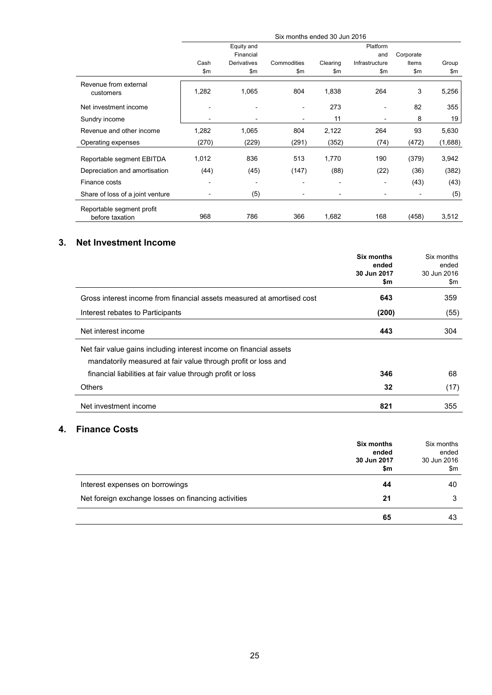|                                              | Six months ended 30 Jun 2016 |                |             |                |                |           |         |
|----------------------------------------------|------------------------------|----------------|-------------|----------------|----------------|-----------|---------|
|                                              |                              | Equity and     |             |                | Platform       |           |         |
|                                              |                              | Financial      |             |                | and            | Corporate |         |
|                                              | Cash                         | Derivatives    | Commodities | Clearing       | Infrastructure | Items     | Group   |
|                                              | \$m                          | \$m            | \$m\$       | \$m            | \$m            | \$m       | \$m     |
| Revenue from external<br>customers           | 1,282                        | 1,065          | 804         | 1,838          | 264            | 3         | 5,256   |
| Net investment income                        |                              | $\blacksquare$ |             | 273            |                | 82        | 355     |
| Sundry income                                |                              |                |             | 11             |                | 8         | 19      |
| Revenue and other income                     | 1,282                        | 1,065          | 804         | 2,122          | 264            | 93        | 5,630   |
| Operating expenses                           | (270)                        | (229)          | (291)       | (352)          | (74)           | (472)     | (1,688) |
| Reportable segment EBITDA                    | 1,012                        | 836            | 513         | 1,770          | 190            | (379)     | 3,942   |
| Depreciation and amortisation                | (44)                         | (45)           | (147)       | (88)           | (22)           | (36)      | (382)   |
| Finance costs                                |                              | $\blacksquare$ |             | $\blacksquare$ |                | (43)      | (43)    |
| Share of loss of a joint venture             |                              | (5)            |             |                |                |           | (5)     |
| Reportable segment profit<br>before taxation | 968                          | 786            | 366         | 1,682          | 168            | (458)     | 3,512   |

### **3. Net Investment Income**

|                                                                        | Six months<br>ended | Six months<br>ended |
|------------------------------------------------------------------------|---------------------|---------------------|
|                                                                        | 30 Jun 2017<br>\$m  | 30 Jun 2016<br>\$m  |
| Gross interest income from financial assets measured at amortised cost | 643                 | 359                 |
| Interest rebates to Participants                                       | (200)               | (55)                |
| Net interest income                                                    | 443                 | 304                 |
| Net fair value gains including interest income on financial assets     |                     |                     |
| mandatorily measured at fair value through profit or loss and          |                     |                     |
| financial liabilities at fair value through profit or loss             | 346                 | 68                  |
| <b>Others</b>                                                          | 32                  | (17)                |
| Net investment income                                                  | 821                 | 355                 |

### **4. Finance Costs**

|                                                     | Six months<br>ended<br>30 Jun 2017<br>\$m | Six months<br>ended<br>30 Jun 2016<br>\$m |
|-----------------------------------------------------|-------------------------------------------|-------------------------------------------|
| Interest expenses on borrowings                     | 44                                        | 40                                        |
| Net foreign exchange losses on financing activities | 21                                        |                                           |
|                                                     | 65                                        | 43                                        |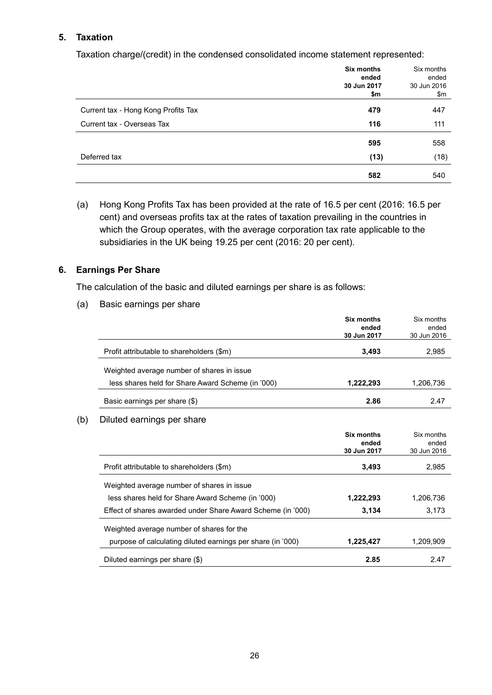#### **5. Taxation**

Taxation charge/(credit) in the condensed consolidated income statement represented:

|                                     | Six months<br>ended | Six months<br>ended |
|-------------------------------------|---------------------|---------------------|
|                                     | 30 Jun 2017<br>\$m  | 30 Jun 2016<br>\$m  |
| Current tax - Hong Kong Profits Tax | 479                 | 447                 |
| Current tax - Overseas Tax          | 116                 | 111                 |
|                                     | 595                 | 558                 |
| Deferred tax                        | (13)                | (18)                |
|                                     | 582                 | 540                 |

(a) Hong Kong Profits Tax has been provided at the rate of 16.5 per cent (2016: 16.5 per cent) and overseas profits tax at the rates of taxation prevailing in the countries in which the Group operates, with the average corporation tax rate applicable to the subsidiaries in the UK being 19.25 per cent (2016: 20 per cent).

#### **6. Earnings Per Share**

The calculation of the basic and diluted earnings per share is as follows:

(a) Basic earnings per share

| 30 Jun 2017 | 30 Jun 2016 |
|-------------|-------------|
| 3,493       | 2,985       |
|             |             |
| 1,222,293   | 1,206,736   |
| 2.86        | 2.47        |
|             |             |

|                                                             | Six months<br>ended<br>30 Jun 2017 | Six months<br>ended<br>30 Jun 2016 |
|-------------------------------------------------------------|------------------------------------|------------------------------------|
| Profit attributable to shareholders (\$m)                   | 3,493                              | 2,985                              |
| Weighted average number of shares in issue                  |                                    |                                    |
| less shares held for Share Award Scheme (in '000)           | 1,222,293                          | 1,206,736                          |
| Effect of shares awarded under Share Award Scheme (in '000) | 3,134                              | 3.173                              |
| Weighted average number of shares for the                   |                                    |                                    |
| purpose of calculating diluted earnings per share (in '000) | 1,225,427                          | 1.209.909                          |
| Diluted earnings per share (\$)                             | 2.85                               | 2.47                               |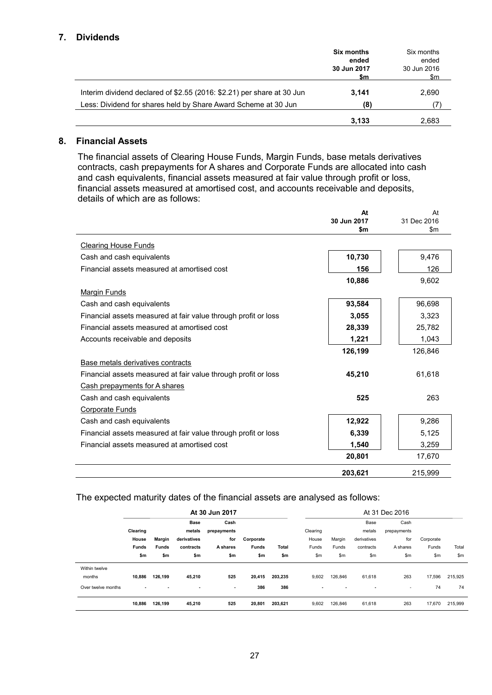#### **7. Dividends**

|                                                                        | <b>Six months</b><br>ended<br>30 Jun 2017<br>\$m | Six months<br>ended<br>30 Jun 2016<br>\$m |
|------------------------------------------------------------------------|--------------------------------------------------|-------------------------------------------|
| Interim dividend declared of \$2.55 (2016: \$2.21) per share at 30 Jun | 3,141                                            | 2,690                                     |
| Less: Dividend for shares held by Share Award Scheme at 30 Jun         | (8)                                              | 7                                         |
|                                                                        | 3.133                                            | 2.683                                     |

### **8. Financial Assets**

The financial assets of Clearing House Funds, Margin Funds, base metals derivatives contracts, cash prepayments for A shares and Corporate Funds are allocated into cash and cash equivalents, financial assets measured at fair value through profit or loss, financial assets measured at amortised cost, and accounts receivable and deposits, details of which are as follows:

|                                                                | At          | At          |
|----------------------------------------------------------------|-------------|-------------|
|                                                                | 30 Jun 2017 | 31 Dec 2016 |
|                                                                | \$m         | \$m         |
| <b>Clearing House Funds</b>                                    |             |             |
| Cash and cash equivalents                                      | 10,730      | 9,476       |
| Financial assets measured at amortised cost                    | 156         | 126         |
|                                                                | 10,886      | 9.602       |
| Margin Funds                                                   |             |             |
| Cash and cash equivalents                                      | 93,584      | 96,698      |
| Financial assets measured at fair value through profit or loss | 3,055       | 3,323       |
| Financial assets measured at amortised cost                    | 28,339      | 25,782      |
| Accounts receivable and deposits                               | 1,221       | 1,043       |
|                                                                | 126,199     | 126,846     |
| Base metals derivatives contracts                              |             |             |
| Financial assets measured at fair value through profit or loss | 45,210      | 61,618      |
| Cash prepayments for A shares                                  |             |             |
| Cash and cash equivalents                                      | 525         | 263         |
| <b>Corporate Funds</b>                                         |             |             |
| Cash and cash equivalents                                      | 12,922      | 9,286       |
| Financial assets measured at fair value through profit or loss | 6,339       | 5,125       |
| Financial assets measured at amortised cost                    | 1,540       | 3,259       |
|                                                                | 20,801      | 17,670      |
|                                                                | 203,621     | 215,999     |

#### The expected maturity dates of the financial assets are analysed as follows:

|                    | At 30 Jun 2017 |              |             |             |              |         |                          |         |                          | At 31 Dec 2016 |           |         |
|--------------------|----------------|--------------|-------------|-------------|--------------|---------|--------------------------|---------|--------------------------|----------------|-----------|---------|
|                    |                |              | <b>Base</b> | Cash        |              |         |                          |         | Base                     | Cash           |           |         |
|                    | Clearing       |              | metals      | prepayments |              |         | Clearing                 |         | metals                   | prepayments    |           |         |
|                    | House          | Margin       | derivatives | for         | Corporate    |         | House                    | Margin  | derivatives              | for            | Corporate |         |
|                    | <b>Funds</b>   | <b>Funds</b> | contracts   | A shares    | <b>Funds</b> | Total   | Funds                    | Funds   | contracts                | A shares       | Funds     | Total   |
|                    | \$m            | \$m          | \$m         | \$m         | \$m          | \$m     | \$m\$                    | \$m     | \$m                      | \$m            | \$m       | \$m     |
| Within twelve      |                |              |             |             |              |         |                          |         |                          |                |           |         |
| months             | 10.886         | 126,199      | 45,210      | 525         | 20,415       | 203,235 | 9,602                    | 126.846 | 61.618                   | 263            | 17,596    | 215,925 |
| Over twelve months | $\blacksquare$ |              | ۰           | ٠           | 386          | 386     | $\overline{\phantom{a}}$ |         | $\overline{\phantom{a}}$ | ۰              | 74        | 74      |
|                    | 10,886         | 126,199      | 45,210      | 525         | 20,801       | 203,621 | 9,602                    | 126,846 | 61,618                   | 263            | 17,670    | 215,999 |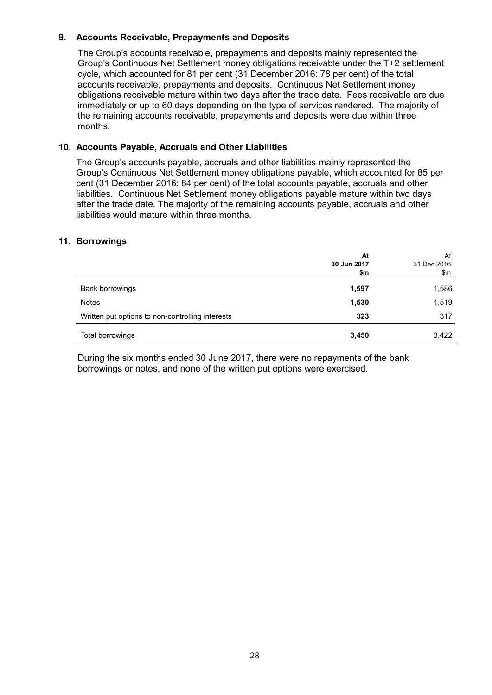#### **9. Accounts Receivable, Prepayments and Deposits**

The Group's accounts receivable, prepayments and deposits mainly represented the Group's Continuous Net Settlement money obligations receivable under the T+2 settlement cycle, which accounted for 81 per cent (31 December 2016: 78 per cent) of the total accounts receivable, prepayments and deposits. Continuous Net Settlement money obligations receivable mature within two days after the trade date. Fees receivable are due immediately or up to 60 days depending on the type of services rendered. The majority of the remaining accounts receivable, prepayments and deposits were due within three months.

#### **10. Accounts Payable, Accruals and Other Liabilities**

The Group's accounts payable, accruals and other liabilities mainly represented the Group's Continuous Net Settlement money obligations payable, which accounted for 85 per cent (31 December 2016: 84 per cent) of the total accounts payable, accruals and other liabilities. Continuous Net Settlement money obligations payable mature within two days after the trade date. The majority of the remaining accounts payable, accruals and other liabilities would mature within three months.

#### **11. Borrowings**

|                                                  | At<br>30 Jun 2017 | At<br>31 Dec 2016 |
|--------------------------------------------------|-------------------|-------------------|
|                                                  | \$m               | \$m               |
| Bank borrowings                                  | 1,597             | 1,586             |
| <b>Notes</b>                                     | 1,530             | 1,519             |
| Written put options to non-controlling interests | 323               | 317               |
| Total borrowings                                 | 3,450             | 3,422             |

During the six months ended 30 June 2017, there were no repayments of the bank borrowings or notes, and none of the written put options were exercised.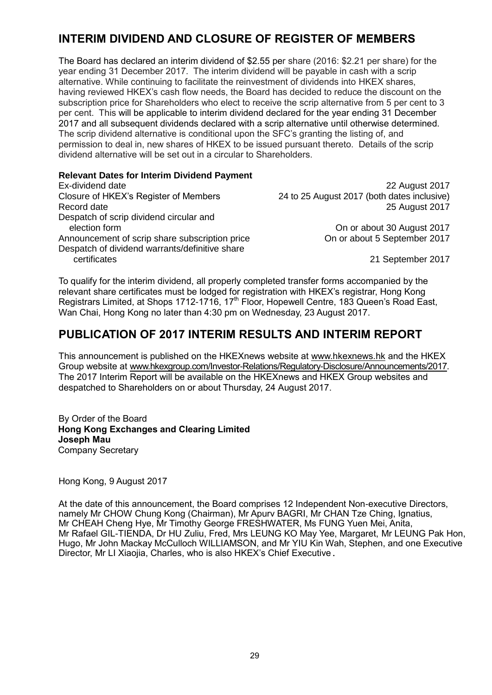# **INTERIM DIVIDEND AND CLOSURE OF REGISTER OF MEMBERS**

The Board has declared an interim dividend of \$2.55 per share (2016: \$2.21 per share) for the year ending 31 December 2017. The interim dividend will be payable in cash with a scrip alternative. While continuing to facilitate the reinvestment of dividends into HKEX shares, having reviewed HKEX's cash flow needs, the Board has decided to reduce the discount on the subscription price for Shareholders who elect to receive the scrip alternative from 5 per cent to 3 per cent. This will be applicable to interim dividend declared for the year ending 31 December 2017 and all subsequent dividends declared with a scrip alternative until otherwise determined. The scrip dividend alternative is conditional upon the SFC's granting the listing of, and permission to deal in, new shares of HKEX to be issued pursuant thereto. Details of the scrip dividend alternative will be set out in a circular to Shareholders.

**Relevant Dates for Interim Dividend Payment** Ex-dividend date 22 August 2017 Closure of HKEX's Register of Members 24 to 25 August 2017 (both dates inclusive) Record date 2017 **Record date** 2017 Despatch of scrip dividend circular and election form **On or about 30 August 2017** Announcement of scrip share subscription price On or about 5 September 2017 Despatch of dividend warrants/definitive share certificates 21 September 2017

To qualify for the interim dividend, all properly completed transfer forms accompanied by the relevant share certificates must be lodged for registration with HKEX's registrar, Hong Kong Registrars Limited, at Shops 1712-1716, 17<sup>th</sup> Floor, Hopewell Centre, 183 Queen's Road East, Wan Chai, Hong Kong no later than 4:30 pm on Wednesday, 23 August 2017.

# **PUBLICATION OF 2017 INTERIM RESULTS AND INTERIM REPORT**

This announcement is published on the HKEXnews website at [www.hkexnews.hk](http://www.hkexnews.hk/) and the HKEX Group website at [www.hkexgroup.com/Investor-Relations/Regulatory-Disclosure/Announcements/2017.](http://www.hkexgroup.com/Investor-Relations/Regulatory-Disclosure/Announcements/2017?sc_lang=en) The 2017 Interim Report will be available on the HKEXnews and HKEX Group websites and despatched to Shareholders on or about Thursday, 24 August 2017.

By Order of the Board **Hong Kong Exchanges and Clearing Limited Joseph Mau** Company Secretary

Hong Kong, 9 August 2017

At the date of this announcement, the Board comprises 12 Independent Non-executive Directors, namely Mr CHOW Chung Kong (Chairman), Mr Apurv BAGRI, Mr CHAN Tze Ching, Ignatius, Mr CHEAH Cheng Hye, Mr Timothy George FRESHWATER, Ms FUNG Yuen Mei, Anita, Mr Rafael GIL-TIENDA, Dr HU Zuliu, Fred, Mrs LEUNG KO May Yee, Margaret, Mr LEUNG Pak Hon, Hugo, Mr John Mackay McCulloch WILLIAMSON, and Mr YIU Kin Wah, Stephen, and one Executive Director, Mr LI Xiaojia, Charles, who is also HKEX's Chief Executive.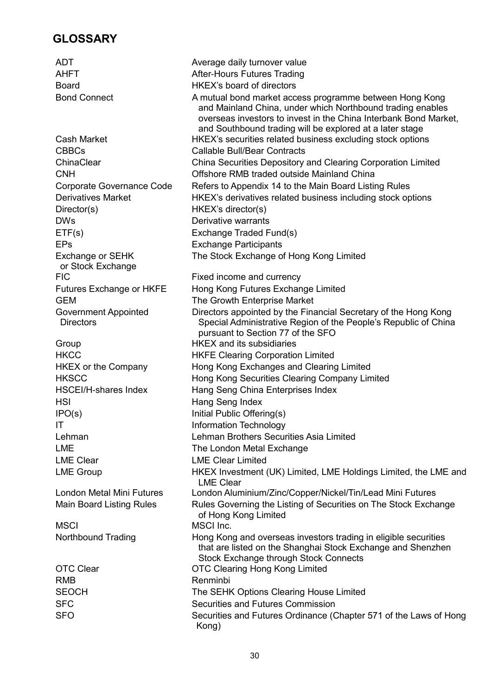# **GLOSSARY**

ADT Average daily turnover value AHFT AHFT After-Hours Futures Trading Board **HKEX's board of directors** Bond Connect A mutual bond market access programme between Hong Kong and Mainland China, under which Northbound trading enables overseas investors to invest in the China Interbank Bond Market, and Southbound trading will be explored at a later stage Cash Market HKEX's securities related business excluding stock options CBBCs Callable Bull/Bear Contracts ChinaClear China Securities Depository and Clearing Corporation Limited CNH Offshore RMB traded outside Mainland China Corporate Governance Code Refers to Appendix 14 to the Main Board Listing Rules Derivatives Market HKEX's derivatives related business including stock options Director(s) HKEX's director(s) DWs Derivative warrants ETF(s) Exchange Traded Fund(s) EPs Exchange Participants Exchange or SEHK or Stock Exchange<br>FIC The Stock Exchange of Hong Kong Limited Fixed income and currency Futures Exchange or HKFE Hong Kong Futures Exchange Limited GEM GEM The Growth Enterprise Market Government Appointed **Directors** Directors appointed by the Financial Secretary of the Hong Kong Special Administrative Region of the People's Republic of China pursuant to Section 77 of the SFO Group HKEX and its subsidiaries HKCC HKFE Clearing Corporation Limited HKEX or the Company Hong Kong Exchanges and Clearing Limited HKSCC Hong Kong Securities Clearing Company Limited HSCEI/H-shares Index Hang Seng China Enterprises Index HSI Hang Seng Index IPO(s) Initial Public Offering(s) IT IT Information Technology Lehman Lehman Brothers Securities Asia Limited LME **The London Metal Exchange** LME Clear LME Clear Limited LME Group **HKEX Investment (UK) Limited, LME Holdings Limited, the LME and** LME Clear London Metal Mini Futures London Aluminium/Zinc/Copper/Nickel/Tin/Lead Mini Futures Main Board Listing Rules **Rules Governing the Listing of Securities on The Stock Exchange** of Hong Kong Limited MSCI MSCI Inc. Northbound Trading **Hong Kong and overseas investors trading in eligible securities** that are listed on the Shanghai Stock Exchange and Shenzhen Stock Exchange through Stock Connects OTC Clear OTC Clearing Hong Kong Limited RMB Renminbi SEOCH The SEHK Options Clearing House Limited SFC Securities and Futures Commission SFO Securities and Futures Ordinance (Chapter 571 of the Laws of Hong Kong)